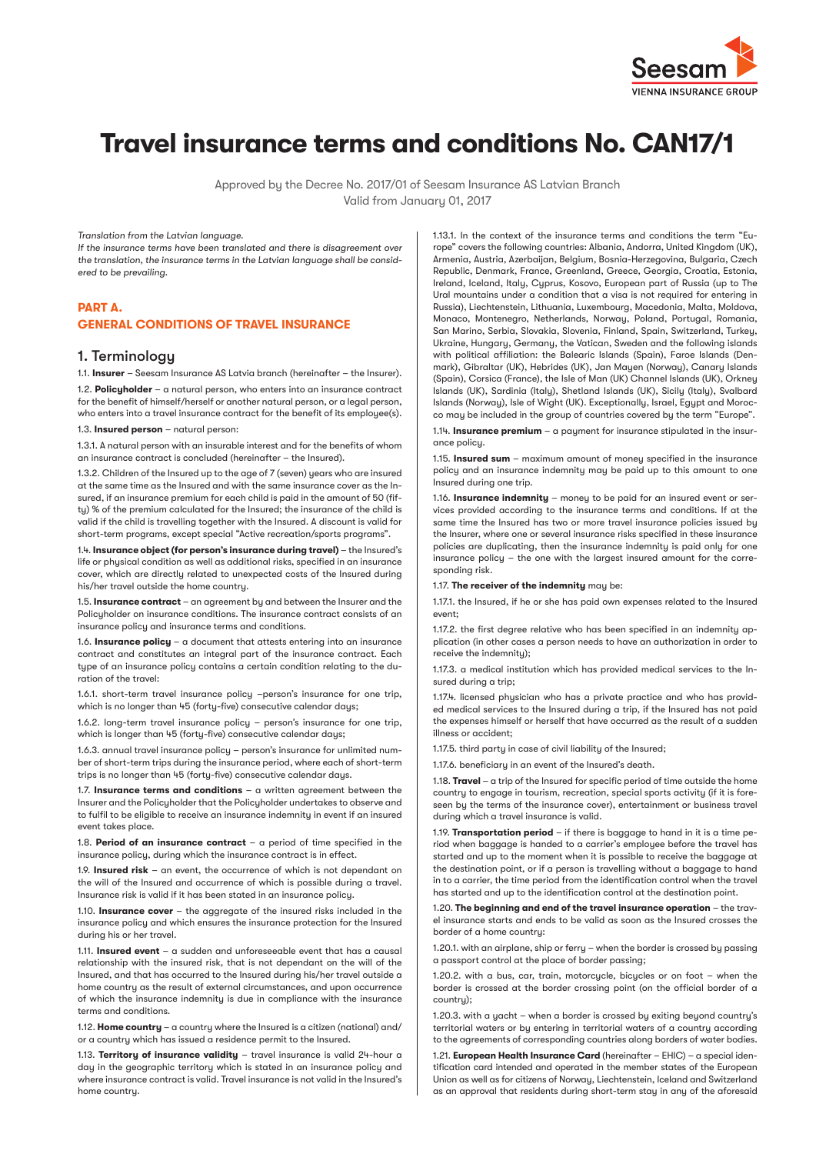

# **Travel insurance terms and conditions No. CAN17/1**

Approved by the Decree No. 2017/01 of Seesam Insurance AS Latvian Branch Valid from January 01, 2017

*Translation from the Latvian language.*

*If the insurance terms have been translated and there is disagreement over the translation, the insurance terms in the Latvian language shall be considered to be prevailing.*

# **PART A. GENERAL CONDITIONS OF TRAVEL INSURANCE**

# 1. Terminology

1.1. **Insurer** – Seesam Insurance AS Latvia branch (hereinafter – the Insurer).

1.2. **Policyholder** – a natural person, who enters into an insurance contract for the benefit of himself/herself or another natural person, or a legal person who enters into a travel insurance contract for the benefit of its employee(s). 1.3. **Insured person** – natural person:

1.3.1. A natural person with an insurable interest and for the benefits of whom an insurance contract is concluded (hereinafter – the Insured).

1.3.2. Children of the Insured up to the age of 7 (seven) years who are insured at the same time as the Insured and with the same insurance cover as the Insured, if an insurance premium for each child is paid in the amount of 50 (fifty) % of the premium calculated for the Insured; the insurance of the child is valid if the child is travelling together with the Insured. A discount is valid for short-term programs, except special "Active recreation/sports programs".

1.4. **Insurance object (for person's insurance during travel)** – the Insured's life or physical condition as well as additional risks, specified in an insurance cover, which are directly related to unexpected costs of the Insured during his/her travel outside the home country.

1.5. **Insurance contract** – an agreement by and between the Insurer and the Policyholder on insurance conditions. The insurance contract consists of an insurance policy and insurance terms and conditions.

1.6. **Insurance policy** – a document that attests entering into an insurance contract and constitutes an integral part of the insurance contract. Each type of an insurance policy contains a certain condition relating to the duration of the travel:

1.6.1. short-term travel insurance policy –person's insurance for one trip, which is no longer than 45 (forty-five) consecutive calendar days;

1.6.2. long-term travel insurance policy – person's insurance for one trip, which is longer than 45 (forty-five) consecutive calendar days;

1.6.3. annual travel insurance policy – person's insurance for unlimited number of short-term trips during the insurance period, where each of short-term trips is no longer than 45 (forty-five) consecutive calendar days.

1.7. **Insurance terms and conditions** – a written agreement between the Insurer and the Policyholder that the Policyholder undertakes to observe and to fulfil to be eligible to receive an insurance indemnity in event if an insured event takes place.

1.8. **Period of an insurance contract** – a period of time specified in the insurance policy, during which the insurance contract is in effect.

1.9. **Insured risk** – an event, the occurrence of which is not dependant on the will of the Insured and occurrence of which is possible during a travel. Insurance risk is valid if it has been stated in an insurance policy.

1.10. **Insurance cover** – the aggregate of the insured risks included in the insurance policy and which ensures the insurance protection for the Insured during his or her travel.

1.11. **Insured event** – a sudden and unforeseeable event that has a causal relationship with the insured risk, that is not dependant on the will of the Insured, and that has occurred to the Insured during his/her travel outside a home country as the result of external circumstances, and upon occurrence of which the insurance indemnity is due in compliance with the insurance terms and conditions.

1.12. **Home country** – a country where the Insured is a citizen (national) and/ or a country which has issued a residence permit to the Insured.

1.13. **Territory of insurance validity** – travel insurance is valid 24-hour a day in the geographic territory which is stated in an insurance policy and where insurance contract is valid. Travel insurance is not valid in the Insured's home country.

1.13.1. In the context of the insurance terms and conditions the term "Europe" covers the following countries: Albania, Andorra, United Kingdom (UK), Armenia, Austria, Azerbaijan, Belgium, Bosnia-Herzegovina, Bulgaria, Czech Republic, Denmark, France, Greenland, Greece, Georgia, Croatia, Estonia, Ireland, Iceland, Italy, Cyprus, Kosovo, European part of Russia (up to The Ural mountains under a condition that a visa is not required for entering in Russia), Liechtenstein, Lithuania, Luxembourg, Macedonia, Malta, Moldova, Monaco, Montenegro, Netherlands, Norway, Poland, Portugal, Romania, San Marino, Serbia, Slovakia, Slovenia, Finland, Spain, Switzerland, Turkey, Ukraine, Hungary, Germany, the Vatican, Sweden and the following islands with political affiliation: the Balearic Islands (Spain), Faroe Islands (Denmark), Gibraltar (UK), Hebrides (UK), Jan Mayen (Norway), Canary Islands (Spain), Corsica (France), the Isle of Man (UK) Channel Islands (UK), Orkney Islands (UK), Sardinia (Italy), Shetland Islands (UK), Sicily (Italy), Svalbard Islands (Norway), Isle of Wight (UK). Exceptionally, Israel, Egypt and Morocco may be included in the group of countries covered by the term "Europe".

1.14. **Insurance premium** – a payment for insurance stipulated in the insurance policy.

1.15. **Insured sum** – maximum amount of money specified in the insurance policy and an insurance indemnity may be paid up to this amount to one Insured during one trip.

1.16. **Insurance indemnity** – money to be paid for an insured event or services provided according to the insurance terms and conditions. If at the same time the Insured has two or more travel insurance policies issued by the Insurer, where one or several insurance risks specified in these insurance policies are duplicating, then the insurance indemnity is paid only for one insurance policy – the one with the largest insured amount for the corresponding risk.

#### 1.17. **The receiver of the indemnity** may be:

1.17.1. the Insured, if he or she has paid own expenses related to the Insured event;

1.17.2. the first degree relative who has been specified in an indemnity application (in other cases a person needs to have an authorization in order to receive the indemnity);

1.17.3. a medical institution which has provided medical services to the Insured during a trip;

1.17.4. licensed physician who has a private practice and who has provided medical services to the Insured during a trip, if the Insured has not paid the expenses himself or herself that have occurred as the result of a sudden illness or accident;

1.17.5. third party in case of civil liability of the Insured;

1.17.6. beneficiary in an event of the Insured's death.

1.18. **Travel** – a trip of the Insured for specific period of time outside the home country to engage in tourism, recreation, special sports activity (if it is foreseen by the terms of the insurance cover), entertainment or business travel during which a travel insurance is valid.

1.19. **Transportation period** – if there is baggage to hand in it is a time period when baggage is handed to a carrier's employee before the travel has started and up to the moment when it is possible to receive the baggage at the destination point, or if a person is travelling without a baggage to hand in to a carrier, the time period from the identification control when the travel has started and up to the identification control at the destination point.

1.20. **The beginning and end of the travel insurance operation** – the travel insurance starts and ends to be valid as soon as the Insured crosses the border of a home country:

1.20.1. with an airplane, ship or ferry – when the border is crossed by passing a passport control at the place of border passing;

1.20.2. with a bus, car, train, motorcycle, bicycles or on foot – when the border is crossed at the border crossing point (on the official border of a country);

1.20.3. with a yacht – when a border is crossed by exiting beyond country's territorial waters or by entering in territorial waters of a country according to the agreements of corresponding countries along borders of water bodies.

1.21. **European Health Insurance Card** (hereinafter – EHIC) – a special identification card intended and operated in the member states of the European Union as well as for citizens of Norway, Liechtenstein, Iceland and Switzerland as an approval that residents during short-term stay in any of the aforesaid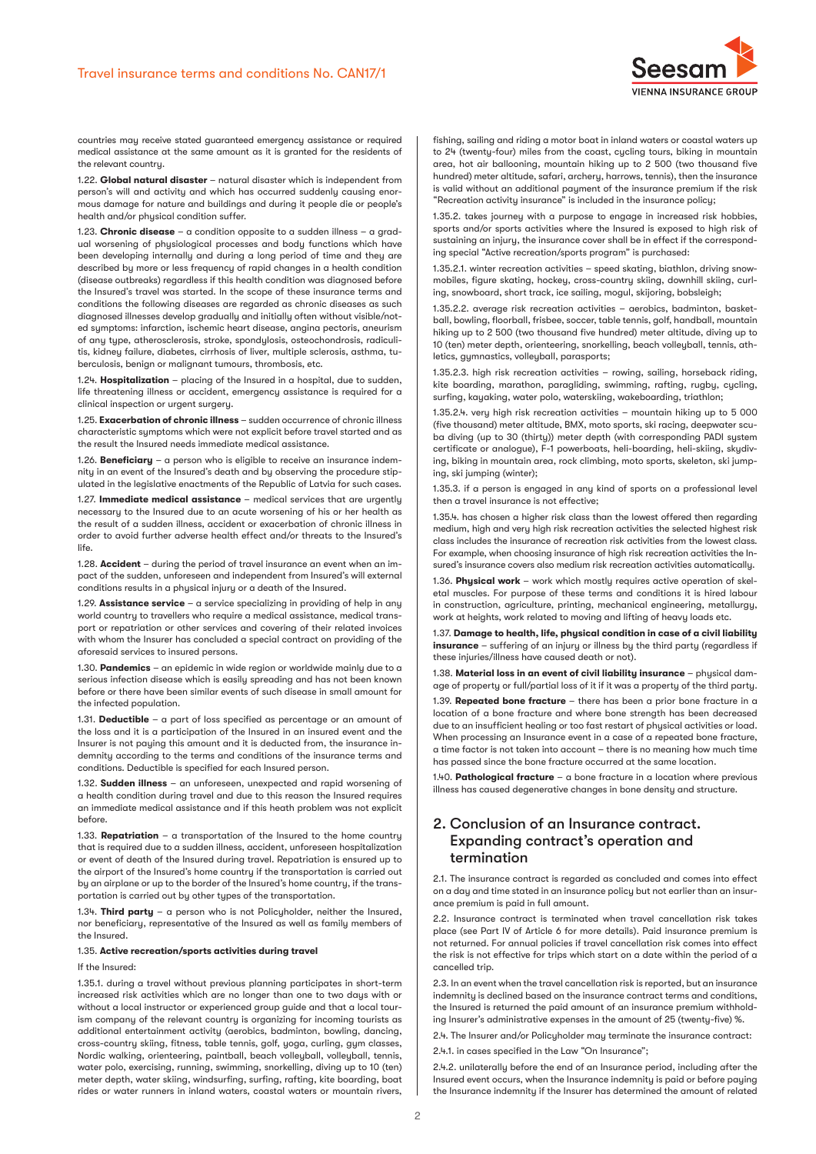

countries may receive stated guaranteed emergency assistance or required medical assistance at the same amount as it is granted for the residents of the relevant country.

1.22. **Global natural disaster** – natural disaster which is independent from person's will and activity and which has occurred suddenly causing enormous damage for nature and buildings and during it people die or people's health and/or physical condition suffer.

1.23. **Chronic disease** – a condition opposite to a sudden illness – a gradual worsening of physiological processes and body functions which have been developing internally and during a long period of time and they are described by more or less frequency of rapid changes in a health condition (disease outbreaks) regardless if this health condition was diagnosed before the Insured's travel was started. In the scope of these insurance terms and conditions the following diseases are regarded as chronic diseases as such diagnosed illnesses develop gradually and initially often without visible/noted sumptoms: infarction, ischemic heart disease, angina pectoris, aneurism of any type, atherosclerosis, stroke, spondylosis, osteochondrosis, radiculitis, kidney failure, diabetes, cirrhosis of liver, multiple sclerosis, asthma, tuberculosis, benign or malignant tumours, thrombosis, etc.

1.24. **Hospitalization** – placing of the Insured in a hospital, due to sudden, life threatening illness or accident, emergency assistance is required for a clinical inspection or urgent surgery.

1.25. **Exacerbation of chronic illness** – sudden occurrence of chronic illness characteristic symptoms which were not explicit before travel started and as the result the Insured needs immediate medical assistance.

1.26. **Beneficiary** – a person who is eligible to receive an insurance indemnity in an event of the Insured's death and by observing the procedure stipulated in the legislative enactments of the Republic of Latvia for such cases.

1.27. **Immediate medical assistance** – medical services that are urgently necessary to the Insured due to an acute worsening of his or her health as the result of a sudden illness, accident or exacerbation of chronic illness in order to avoid further adverse health effect and/or threats to the Insured's life.

1.28. **Accident** – during the period of travel insurance an event when an impact of the sudden, unforeseen and independent from Insured's will external conditions results in a physical injury or a death of the Insured.

1.29. **Assistance service** – a service specializing in providing of help in any world country to travellers who require a medical assistance, medical transport or repatriation or other services and covering of their related invoices with whom the Insurer has concluded a special contract on providing of the aforesaid services to insured persons.

1.30. **Pandemics** – an epidemic in wide region or worldwide mainly due to a serious infection disease which is easily spreading and has not been known before or there have been similar events of such disease in small amount for the infected population.

1.31. **Deductible** – a part of loss specified as percentage or an amount of the loss and it is a participation of the Insured in an insured event and the Insurer is not paying this amount and it is deducted from, the insurance indemnity according to the terms and conditions of the insurance terms and conditions. Deductible is specified for each Insured person.

1.32. **Sudden illness** – an unforeseen, unexpected and rapid worsening of a health condition during travel and due to this reason the Insured requires an immediate medical assistance and if this heath problem was not explicit before.

1.33. **Repatriation** – a transportation of the Insured to the home country that is required due to a sudden illness, accident, unforeseen hospitalization or event of death of the Insured during travel. Repatriation is ensured up to the airport of the Insured's home country if the transportation is carried out by an airplane or up to the border of the Insured's home country, if the transportation is carried out by other types of the transportation.

1.34. **Third party** – a person who is not Policyholder, neither the Insured, nor beneficiary, representative of the Insured as well as family members of the Insured.

#### 1.35. **Active recreation/sports activities during travel**

## If the Insured:

1.35.1. during a travel without previous planning participates in short-term increased risk activities which are no longer than one to two days with or without a local instructor or experienced group guide and that a local tourism company of the relevant country is organizing for incoming tourists as additional entertainment activity (aerobics, badminton, bowling, dancing, cross-country skiing, fitness, table tennis, golf, yoga, curling, gym classes, Nordic walking, orienteering, paintball, beach volleyball, volleyball, tennis, water polo, exercising, running, swimming, snorkelling, diving up to 10 (ten) meter depth, water skiing, windsurfing, surfing, rafting, kite boarding, boat rides or water runners in inland waters, coastal waters or mountain rivers,

fishing, sailing and riding a motor boat in inland waters or coastal waters up to 24 (twenty-four) miles from the coast, cycling tours, biking in mountain area, hot air ballooning, mountain hiking up to 2 500 (two thousand five hundred) meter altitude, safari, archery, harrows, tennis), then the insurance is valid without an additional payment of the insurance premium if the risk "Recreation activity insurance" is included in the insurance policy;

1.35.2. takes journey with a purpose to engage in increased risk hobbies, sports and/or sports activities where the Insured is exposed to high risk of sustaining an injury, the insurance cover shall be in effect if the corresponding special "Active recreation/sports program" is purchased:

1.35.2.1. winter recreation activities – speed skating, biathlon, driving snowmobiles, figure skating, hockey, cross-country skiing, downhill skiing, curling, snowboard, short track, ice sailing, mogul, skijoring, bobsleigh;

1.35.2.2. average risk recreation activities – aerobics, badminton, basketball, bowling, floorball, frisbee, soccer, table tennis, golf, handball, mountain hiking up to 2 500 (two thousand five hundred) meter altitude, diving up to 10 (ten) meter depth, orienteering, snorkelling, beach volleyball, tennis, athletics, gymnastics, volleyball, parasports;

1.35.2.3. high risk recreation activities – rowing, sailing, horseback riding, kite boarding, marathon, paragliding, swimming, rafting, rugby, cycling, surfing, kayaking, water polo, waterskiing, wakeboarding, triathlon;

1.35.2.4. very high risk recreation activities – mountain hiking up to 5 000 (five thousand) meter altitude, BMX, moto sports, ski racing, deepwater scuba diving (up to 30 (thirty)) meter depth (with corresponding PADI system certificate or analogue), F-1 powerboats, heli-boarding, heli-skiing, skydiving, biking in mountain area, rock climbing, moto sports, skeleton, ski jumping, ski jumping (winter);

1.35.3. if a person is engaged in any kind of sports on a professional level then a travel insurance is not effective;

1.35.4. has chosen a higher risk class than the lowest offered then regarding medium, high and very high risk recreation activities the selected highest risk class includes the insurance of recreation risk activities from the lowest class. For example, when choosing insurance of high risk recreation activities the Insured's insurance covers also medium risk recreation activities automatically.

1.36. **Physical work** – work which mostly requires active operation of skeletal muscles. For purpose of these terms and conditions it is hired labour in construction, agriculture, printing, mechanical engineering, metallurgy, work at heights, work related to moving and lifting of heavy loads etc.

1.37. **Damage to health, life, physical condition in case of a civil liability insurance** – suffering of an injury or illness by the third party (regardless if these injuries/illness have caused death or not).

1.38. **Material loss in an event of civil liability insurance** – physical damage of property or full/partial loss of it if it was a property of the third party.

1.39. **Repeated bone fracture** – there has been a prior bone fracture in a location of a bone fracture and where bone strength has been decreased due to an insufficient healing or too fast restart of physical activities or load. When processing an Insurance event in a case of a repeated bone fracture, a time factor is not taken into account – there is no meaning how much time has passed since the bone fracture occurred at the same location.

1.40. **Pathological fracture** – a bone fracture in a location where previous illness has caused degenerative changes in bone density and structure.

# 2. Conclusion of an Insurance contract. Expanding contract's operation and termination

2.1. The insurance contract is regarded as concluded and comes into effect on a day and time stated in an insurance policy but not earlier than an insurance premium is paid in full amount.

2.2. Insurance contract is terminated when travel cancellation risk takes place (see Part IV of Article 6 for more details). Paid insurance premium is not returned. For annual policies if travel cancellation risk comes into effect the risk is not effective for trips which start on a date within the period of a cancelled trip.

2.3. In an event when the travel cancellation risk is reported, but an insurance indemnity is declined based on the insurance contract terms and conditions, the Insured is returned the paid amount of an insurance premium withholding Insurer's administrative expenses in the amount of 25 (twenty-five) %.

2.4. The Insurer and/or Policuholder may terminate the insurance contract:

2.4.1. in cases specified in the Law "On Insurance";

2.4.2. unilaterally before the end of an Insurance period, including after the Insured event occurs, when the Insurance indemnity is paid or before paying the Insurance indemnity if the Insurer has determined the amount of related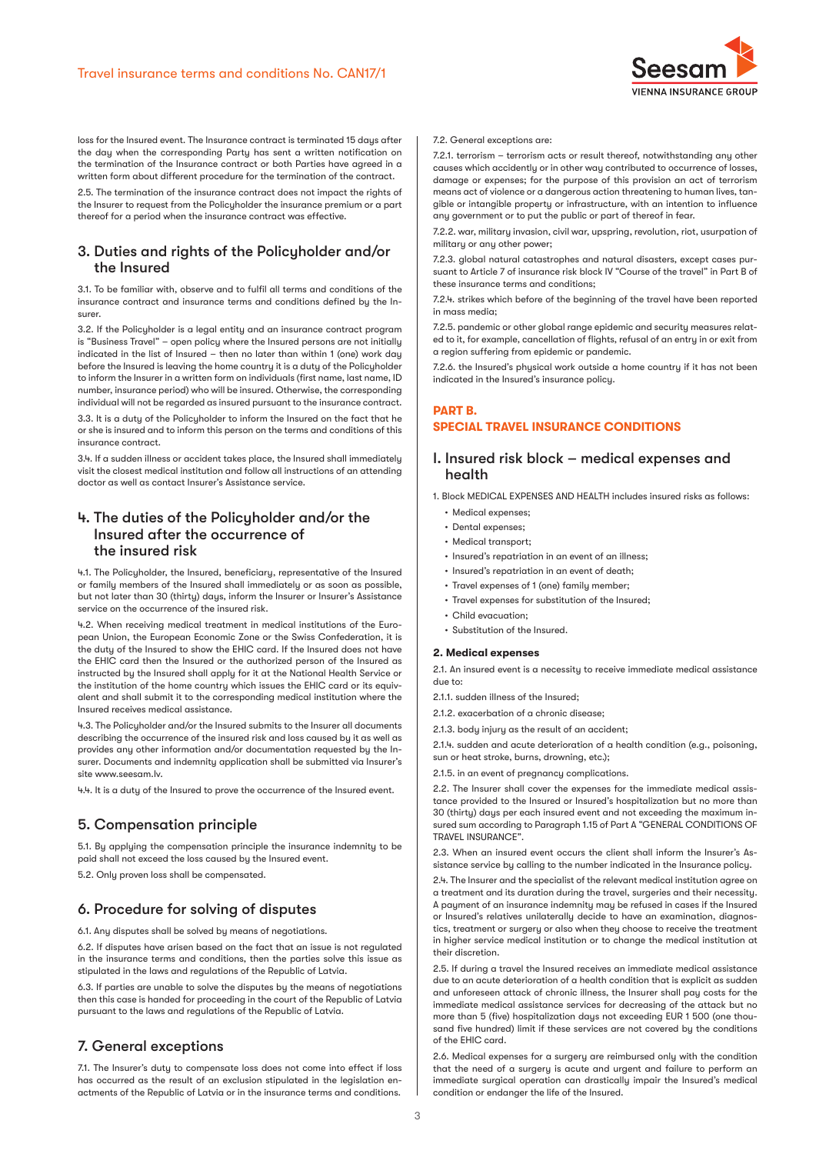

loss for the Insured event. The Insurance contract is terminated 15 days after the day when the corresponding Party has sent a written notification on the termination of the Insurance contract or both Parties have agreed in a written form about different procedure for the termination of the contract.

2.5. The termination of the insurance contract does not impact the rights of the Insurer to request from the Policyholder the insurance premium or a part thereof for a period when the insurance contract was effective.

# 3. Duties and rights of the Policyholder and/or the Insured

3.1. To be familiar with, observe and to fulfil all terms and conditions of the insurance contract and insurance terms and conditions defined by the Insurer.

3.2. If the Policyholder is a legal entity and an insurance contract program is "Business Travel" – open policy where the Insured persons are not initially indicated in the list of Insured – then no later than within 1 (one) work day before the Insured is leaving the home country it is a duty of the Policyholder to inform the Insurer in a written form on individuals (first name, last name, ID number, insurance period) who will be insured. Otherwise, the corresponding individual will not be regarded as insured pursuant to the insurance contract.

3.3. It is a duty of the Policyholder to inform the Insured on the fact that he or she is insured and to inform this person on the terms and conditions of this insurance contract.

3.4. If a sudden illness or accident takes place, the Insured shall immediately visit the closest medical institution and follow all instructions of an attending doctor as well as contact Insurer's Assistance service.

# 4. The duties of the Policyholder and/or the Insured after the occurrence of the insured risk

4.1. The Policyholder, the Insured, beneficiary, representative of the Insured or family members of the Insured shall immediately or as soon as possible, but not later than 30 (thirty) days, inform the Insurer or Insurer's Assistance service on the occurrence of the insured risk.

4.2. When receiving medical treatment in medical institutions of the European Union, the European Economic Zone or the Swiss Confederation, it is the duty of the Insured to show the EHIC card. If the Insured does not have the EHIC card then the Insured or the authorized person of the Insured as instructed by the Insured shall apply for it at the National Health Service or the institution of the home country which issues the EHIC card or its equivalent and shall submit it to the corresponding medical institution where the Insured receives medical assistance.

4.3. The Policyholder and/or the Insured submits to the Insurer all documents describing the occurrence of the insured risk and loss caused by it as well as provides any other information and/or documentation requested by the Insurer. Documents and indemnity application shall be submitted via Insurer's site www.seesam.lv.

4.4. It is a duty of the Insured to prove the occurrence of the Insured event.

# 5. Compensation principle

5.1. By applying the compensation principle the insurance indemnity to be paid shall not exceed the loss caused by the Insured event.

5.2. Only proven loss shall be compensated.

# 6. Procedure for solving of disputes

6.1. Any disputes shall be solved by means of negotiations.

6.2. If disputes have arisen based on the fact that an issue is not regulated in the insurance terms and conditions, then the parties solve this issue as stipulated in the laws and regulations of the Republic of Latvia.

6.3. If parties are unable to solve the disputes by the means of negotiations then this case is handed for proceeding in the court of the Republic of Latvia pursuant to the laws and regulations of the Republic of Latvia.

# 7. General exceptions

7.1. The Insurer's duty to compensate loss does not come into effect if loss has occurred as the result of an exclusion stipulated in the legislation enactments of the Republic of Latvia or in the insurance terms and conditions.

#### 7.2. General exceptions are:

7.2.1. terrorism – terrorism acts or result thereof, notwithstanding any other causes which accidently or in other way contributed to occurrence of losses, damage or expenses; for the purpose of this provision an act of terrorism means act of violence or a dangerous action threatening to human lives, tangible or intangible property or infrastructure, with an intention to influence any government or to put the public or part of thereof in fear.

7.2.2. war, military invasion, civil war, upspring, revolution, riot, usurpation of militaru or anu other power;

7.2.3. global natural catastrophes and natural disasters, except cases pursuant to Article 7 of insurance risk block IV "Course of the travel" in Part B of these insurance terms and conditions;

7.2.4. strikes which before of the beginning of the travel have been reported in mass media;

7.2.5. pandemic or other global range epidemic and security measures related to it, for example, cancellation of flights, refusal of an entry in or exit from a region suffering from epidemic or pandemic.

7.2.6. the Insured's physical work outside a home country if it has not been indicated in the Insured's insurance policy.

# **PART B. SPECIAL TRAVEL INSURANCE CONDITIONS**

# I. Insured risk block – medical expenses and health

- 1. Block MEDICAL EXPENSES AND HEALTH includes insured risks as follows:
	- Medical expenses;
	- Dental expenses;
	- Medical transport;
	- Insured's repatriation in an event of an illness;
	- Insured's repatriation in an event of death;
	- Travel expenses of 1 (one) family member;
	- Travel expenses for substitution of the Insured;
	- Child evacuation;
	- Substitution of the Insured.

## **2. Medical expenses**

2.1. An insured event is a necessity to receive immediate medical assistance due to:

2.1.1. sudden illness of the Insured;

- 2.1.2. exacerbation of a chronic disease;
- 2.1.3. body injury as the result of an accident;

2.1.4. sudden and acute deterioration of a health condition (e.g., poisoning, sun or heat stroke, burns, drowning, etc.);

2.1.5. in an event of pregnancy complications.

2.2. The Insurer shall cover the expenses for the immediate medical assistance provided to the Insured or Insured's hospitalization but no more than 30 (thirty) days per each insured event and not exceeding the maximum insured sum according to Paragraph 1.15 of Part A "GENERAL CONDITIONS OF TRAVEL INSURANCE".

2.3. When an insured event occurs the client shall inform the Insurer's Assistance service by calling to the number indicated in the Insurance policy.

2.4. The Insurer and the specialist of the relevant medical institution agree on a treatment and its duration during the travel, surgeries and their necessity. A payment of an insurance indemnity may be refused in cases if the Insured or Insured's relatives unilaterally decide to have an examination, diagnostics, treatment or surgery or also when they choose to receive the treatment in higher service medical institution or to change the medical institution at their discretion.

2.5. If during a travel the Insured receives an immediate medical assistance due to an acute deterioration of a health condition that is explicit as sudden and unforeseen attack of chronic illness, the Insurer shall pay costs for the immediate medical assistance services for decreasing of the attack but no more than 5 (five) hospitalization days not exceeding EUR 1 500 (one thousand five hundred) limit if these services are not covered by the conditions of the EHIC card.

2.6. Medical expenses for a surgery are reimbursed only with the condition that the need of a surgery is acute and urgent and failure to perform an immediate surgical operation can drastically impair the Insured's medical condition or endanger the life of the Insured.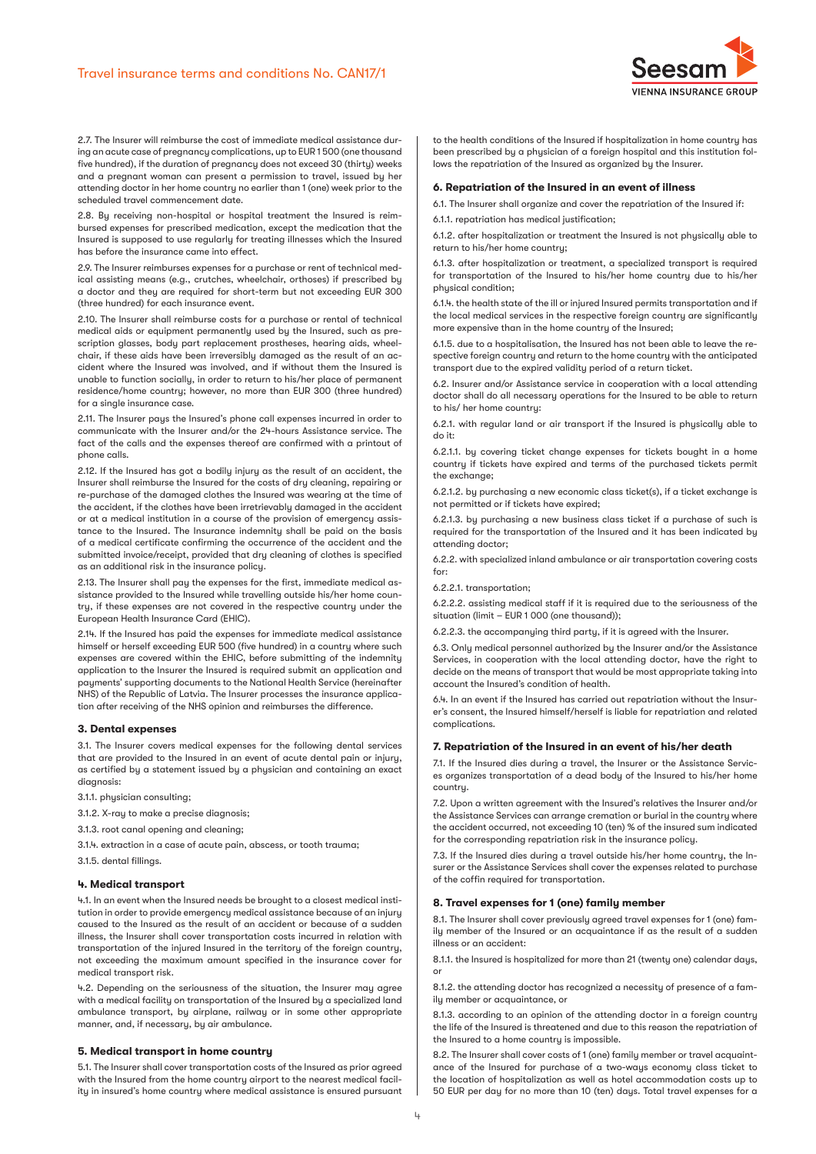

2.7. The Insurer will reimburse the cost of immediate medical assistance during an acute case of pregnancy complications, up to EUR 1 500 (one thousand five hundred), if the duration of pregnancy does not exceed 30 (thirty) weeks and a pregnant woman can present a permission to travel, issued by her attending doctor in her home country no earlier than 1 (one) week prior to the scheduled travel commencement date.

2.8. By receiving non-hospital or hospital treatment the Insured is reimbursed expenses for prescribed medication, except the medication that the Insured is supposed to use regularly for treating illnesses which the Insured has before the insurance came into effect.

2.9. The Insurer reimburses expenses for a purchase or rent of technical medical assisting means (e.g., crutches, wheelchair, orthoses) if prescribed by a doctor and they are required for short-term but not exceeding EUR 300 (three hundred) for each insurance event.

2.10. The Insurer shall reimburse costs for a purchase or rental of technical medical aids or equipment permanently used by the Insured, such as prescription glasses, body part replacement prostheses, hearing aids, wheelchair, if these aids have been irreversibly damaged as the result of an accident where the Insured was involved, and if without them the Insured is unable to function socially, in order to return to his/her place of permanent residence/home country; however, no more than EUR 300 (three hundred) for a single insurance case.

2.11. The Insurer pays the Insured's phone call expenses incurred in order to communicate with the Insurer and/or the 24-hours Assistance service. The fact of the calls and the expenses thereof are confirmed with a printout of phone calls.

2.12. If the Insured has got a bodily injury as the result of an accident, the Insurer shall reimburse the Insured for the costs of dry cleaning, repairing or re-purchase of the damaged clothes the Insured was wearing at the time of the accident, if the clothes have been irretrievably damaged in the accident or at a medical institution in a course of the provision of emergency assistance to the Insured. The Insurance indemnity shall be paid on the basis of a medical certificate confirming the occurrence of the accident and the submitted invoice/receipt, provided that dry cleaning of clothes is specified as an additional risk in the insurance policy.

2.13. The Insurer shall pay the expenses for the first, immediate medical assistance provided to the Insured while travelling outside his/her home country, if these expenses are not covered in the respective country under the European Health Insurance Card (EHIC).

2.14. If the Insured has paid the expenses for immediate medical assistance himself or herself exceeding EUR 500 (five hundred) in a country where such expenses are covered within the EHIC, before submitting of the indemnity application to the Insurer the Insured is required submit an application and payments' supporting documents to the National Health Service (hereinafter NHS) of the Republic of Latvia. The Insurer processes the insurance application after receiving of the NHS opinion and reimburses the difference.

#### **3. Dental expenses**

3.1. The Insurer covers medical expenses for the following dental services that are provided to the Insured in an event of acute dental pain or injury, as certified by a statement issued by a physician and containing an exact diagnosis:

- 3.1.1. phusician consulting:
- 3.1.2. X-ray to make a precise diagnosis;
- 3.1.3. root canal opening and cleaning;
- 3.1.4. extraction in a case of acute pain, abscess, or tooth trauma;
- 3.1.5. dental fillings.

#### **4. Medical transport**

4.1. In an event when the Insured needs be brought to a closest medical institution in order to provide emergency medical assistance because of an injury caused to the Insured as the result of an accident or because of a sudden illness, the Insurer shall cover transportation costs incurred in relation with transportation of the injured Insured in the territory of the foreign country, not exceeding the maximum amount specified in the insurance cover for medical transport risk.

4.2. Depending on the seriousness of the situation, the Insurer may agree with a medical facility on transportation of the Insured by a specialized land ambulance transport, by airplane, railway or in some other appropriate manner, and, if necessary, by air ambulance.

#### **5. Medical transport in home country**

5.1. The Insurer shall cover transportation costs of the Insured as prior agreed with the Insured from the home country airport to the nearest medical facility in insured's home country where medical assistance is ensured pursuant to the health conditions of the Insured if hospitalization in home country has been prescribed by a physician of a foreign hospital and this institution follows the repatriation of the Insured as organized by the Insurer.

## **6. Repatriation of the Insured in an event of illness**

6.1. The Insurer shall organize and cover the repatriation of the Insured if:

6.1.1. repatriation has medical justification;

6.1.2. after hospitalization or treatment the Insured is not physically able to return to his/her home country;

6.1.3. after hospitalization or treatment, a specialized transport is required for transportation of the Insured to his/her home country due to his/her physical condition;

6.1.4. the health state of the ill or injured Insured permits transportation and if the local medical services in the respective foreign country are significantly more expensive than in the home countru of the Insured:

6.1.5. due to a hospitalisation, the Insured has not been able to leave the respective foreign country and return to the home country with the anticipated transport due to the expired validity period of a return ticket.

6.2. Insurer and/or Assistance service in cooperation with a local attending doctor shall do all necessary operations for the Insured to be able to return to his/ her home country:

6.2.1. with regular land or air transport if the Insured is physically able to do it:

6.2.1.1. by covering ticket change expenses for tickets bought in a home country if tickets have expired and terms of the purchased tickets permit the exchange;

6.2.1.2. by purchasing a new economic class ticket(s), if a ticket exchange is not permitted or if tickets have expired;

6.2.1.3. by purchasing a new business class ticket if a purchase of such is required for the transportation of the Insured and it has been indicated by attending doctor;

6.2.2. with specialized inland ambulance or air transportation covering costs for:

6.2.2.1. transportation;

6.2.2.2. assisting medical staff if it is required due to the seriousness of the situation (limit – EUR 1 000 (one thousand));

6.2.2.3. the accompanying third party, if it is agreed with the Insurer.

6.3. Only medical personnel authorized by the Insurer and/or the Assistance Services, in cooperation with the local attending doctor, have the right to decide on the means of transport that would be most appropriate taking into account the Insured's condition of health.

6.4. In an event if the Insured has carried out repatriation without the Insurer's consent, the Insured himself/herself is liable for repatriation and related complications.

#### **7. Repatriation of the Insured in an event of his/her death**

7.1. If the Insured dies during a travel, the Insurer or the Assistance Services organizes transportation of a dead body of the Insured to his/her home country.

7.2. Upon a written agreement with the Insured's relatives the Insurer and/or the Assistance Services can arrange cremation or burial in the country where the accident occurred, not exceeding 10 (ten) % of the insured sum indicated for the corresponding repatriation risk in the insurance policy.

7.3. If the Insured dies during a travel outside his/her home country, the Insurer or the Assistance Services shall cover the expenses related to purchase of the coffin required for transportation.

#### **8. Travel expenses for 1 (one) family member**

8.1. The Insurer shall cover previously agreed travel expenses for 1 (one) family member of the Insured or an acquaintance if as the result of a sudden illness or an accident:

8.1.1. the Insured is hospitalized for more than 21 (twenty one) calendar days, or

8.1.2. the attending doctor has recognized a necessity of presence of a family member or acquaintance, or

8.1.3. according to an opinion of the attending doctor in a foreign country the life of the Insured is threatened and due to this reason the repatriation of the Insured to a home country is impossible.

8.2. The Insurer shall cover costs of 1 (one) family member or travel acquaintance of the Insured for purchase of a two-ways economy class ticket to the location of hospitalization as well as hotel accommodation costs up to 50 EUR per day for no more than 10 (ten) days. Total travel expenses for a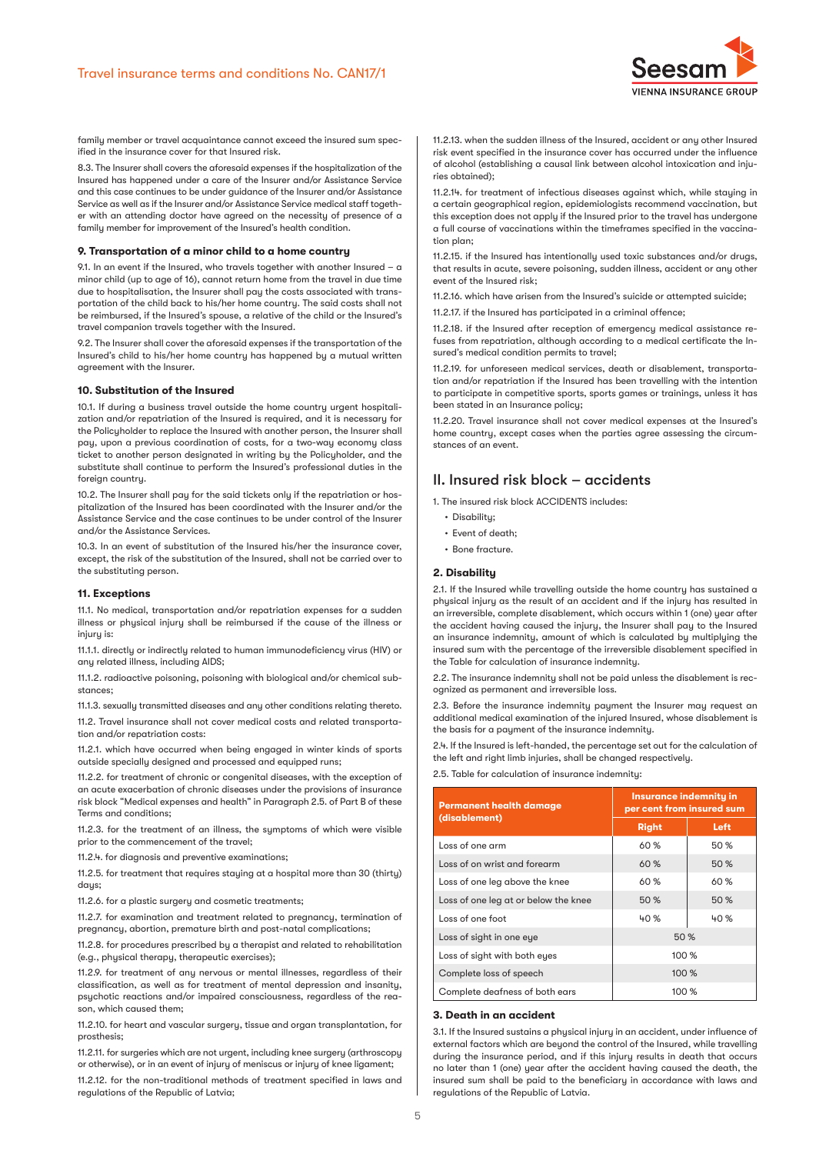

family member or travel acquaintance cannot exceed the insured sum specified in the insurance cover for that Insured risk.

8.3. The Insurer shall covers the aforesaid expenses if the hospitalization of the Insured has happened under a care of the Insurer and/or Assistance Service and this case continues to be under guidance of the Insurer and/or Assistance Service as well as if the Insurer and/or Assistance Service medical staff together with an attending doctor have agreed on the necessity of presence of a family member for improvement of the Insured's health condition.

#### **9. Transportation of a minor child to a home country**

9.1. In an event if the Insured, who travels together with another Insured – a minor child (up to age of 16), cannot return home from the travel in due time due to hospitalisation, the Insurer shall pay the costs associated with transportation of the child back to his/her home country. The said costs shall not be reimbursed, if the Insured's spouse, a relative of the child or the Insured's travel companion travels together with the Insured.

9.2. The Insurer shall cover the aforesaid expenses if the transportation of the Insured's child to his/her home country has happened by a mutual written agreement with the Insurer.

#### **10. Substitution of the Insured**

10.1. If during a business travel outside the home country urgent hospitalization and/or repatriation of the Insured is required, and it is necessary for the Policyholder to replace the Insured with another person, the Insurer shall pay, upon a previous coordination of costs, for a two-way economy class ticket to another person designated in writing by the Policyholder, and the substitute shall continue to perform the Insured's professional duties in the foreign countru.

10.2. The Insurer shall pay for the said tickets only if the repatriation or hospitalization of the Insured has been coordinated with the Insurer and/or the Assistance Service and the case continues to be under control of the Insurer and/or the Assistance Services.

10.3. In an event of substitution of the Insured his/her the insurance cover, except, the risk of the substitution of the Insured, shall not be carried over to the substituting person.

#### **11. Exceptions**

11.1. No medical, transportation and/or repatriation expenses for a sudden illness or physical injury shall be reimbursed if the cause of the illness or injuru is:

11.1.1. directly or indirectly related to human immunodeficiency virus (HIV) or any related illness, including AIDS;

11.1.2. radioactive poisoning, poisoning with biological and/or chemical substances;

11.1.3. sexually transmitted diseases and any other conditions relating thereto.

11.2. Travel insurance shall not cover medical costs and related transportation and/or repatriation costs:

11.2.1. which have occurred when being engaged in winter kinds of sports outside specially designed and processed and equipped runs;

11.2.2. for treatment of chronic or congenital diseases, with the exception of an acute exacerbation of chronic diseases under the provisions of insurance risk block "Medical expenses and health" in Paragraph 2.5. of Part B of these Terms and conditions;

11.2.3. for the treatment of an illness, the symptoms of which were visible prior to the commencement of the travel;

11.2.4. for diagnosis and preventive examinations;

11.2.5. for treatment that requires staying at a hospital more than 30 (thirty) daus:

11.2.6. for a plastic surgery and cosmetic treatments;

11.2.7. for examination and treatment related to pregnancy, termination of pregnancy, abortion, premature birth and post-natal complications;

11.2.8. for procedures prescribed by a therapist and related to rehabilitation (e.g., physical therapy, therapeutic exercises);

11.2.9. for treatment of any nervous or mental illnesses, regardless of their classification, as well as for treatment of mental depression and insanity, psychotic reactions and/or impaired consciousness, regardless of the reason, which caused them;

11.2.10. for heart and vascular surgery, tissue and organ transplantation, for prosthesis;

11.2.11. for surgeries which are not urgent, including knee surgery (arthroscopy or otherwise), or in an event of injury of meniscus or injury of knee ligament;

11.2.12. for the non-traditional methods of treatment specified in laws and regulations of the Republic of Latvia;

11.2.13. when the sudden illness of the Insured, accident or any other Insured risk event specified in the insurance cover has occurred under the influence of alcohol (establishing a causal link between alcohol intoxication and injuries obtained);

11.2.14. for treatment of infectious diseases against which, while staying in a certain geographical region, epidemiologists recommend vaccination, but this exception does not apply if the Insured prior to the travel has undergone a full course of vaccinations within the timeframes specified in the vaccination plan;

11.2.15. if the Insured has intentionally used toxic substances and/or drugs, that results in acute, severe poisoning, sudden illness, accident or any other event of the Insured risk;

11.2.16. which have arisen from the Insured's suicide or attempted suicide; 11.2.17. if the Insured has participated in a criminal offence;

11.2.18. if the Insured after reception of emergency medical assistance refuses from repatriation, although according to a medical certificate the Insured's medical condition permits to travel;

11.2.19. for unforeseen medical services, death or disablement, transportation and/or repatriation if the Insured has been travelling with the intention to participate in competitive sports, sports games or trainings, unless it has been stated in an Insurance policy;

11.2.20. Travel insurance shall not cover medical expenses at the Insured's home country, except cases when the parties agree assessing the circumstances of an event.

# II. Insured risk block – accidents

1. The insured risk block ACCIDENTS includes:

- Disability;
- Event of death;
- Bone fracture.

#### **2. Disability**

2.1. If the Insured while travelling outside the home country has sustained a physical injury as the result of an accident and if the injury has resulted in an irreversible, complete disablement, which occurs within 1 (one) year after the accident having caused the injury, the Insurer shall pay to the Insured an insurance indemnity, amount of which is calculated by multiplying the insured sum with the percentage of the irreversible disablement specified in the Table for calculation of insurance indemnity.

2.2. The insurance indemnity shall not be paid unless the disablement is recognized as permanent and irreversible loss.

2.3. Before the insurance indemnity payment the Insurer may request an additional medical examination of the injured Insured, whose disablement is the basis for a payment of the insurance indemnity.

2.4. If the Insured is left-handed, the percentage set out for the calculation of the left and right limb injuries, shall be changed respectively.

2.5. Table for calculation of insurance indemnity:

| <b>Permanent health damage</b><br>(disablement) | Insurance indemnity in<br>per cent from insured sum |      |
|-------------------------------------------------|-----------------------------------------------------|------|
|                                                 | <b>Right</b>                                        | Left |
| Loss of one arm                                 | 60 %                                                | 50 % |
| Loss of on wrist and forearm                    | 60%                                                 | 50%  |
| Loss of one leg above the knee                  | 60 %                                                | 60 % |
| Loss of one leg at or below the knee            | 50 %                                                | 50%  |
| Loss of one foot                                | 40%                                                 | 40%  |
| Loss of sight in one eye                        | 50%                                                 |      |
| Loss of sight with both eyes                    | 100%                                                |      |
| Complete loss of speech                         | 100%                                                |      |
| Complete deafness of both ears                  | 100 %                                               |      |

## **3. Death in an accident**

3.1. If the Insured sustains a physical injury in an accident, under influence of external factors which are beyond the control of the Insured, while travelling during the insurance period, and if this injury results in death that occurs no later than 1 (one) year after the accident having caused the death, the insured sum shall be paid to the beneficiary in accordance with laws and regulations of the Republic of Latvia.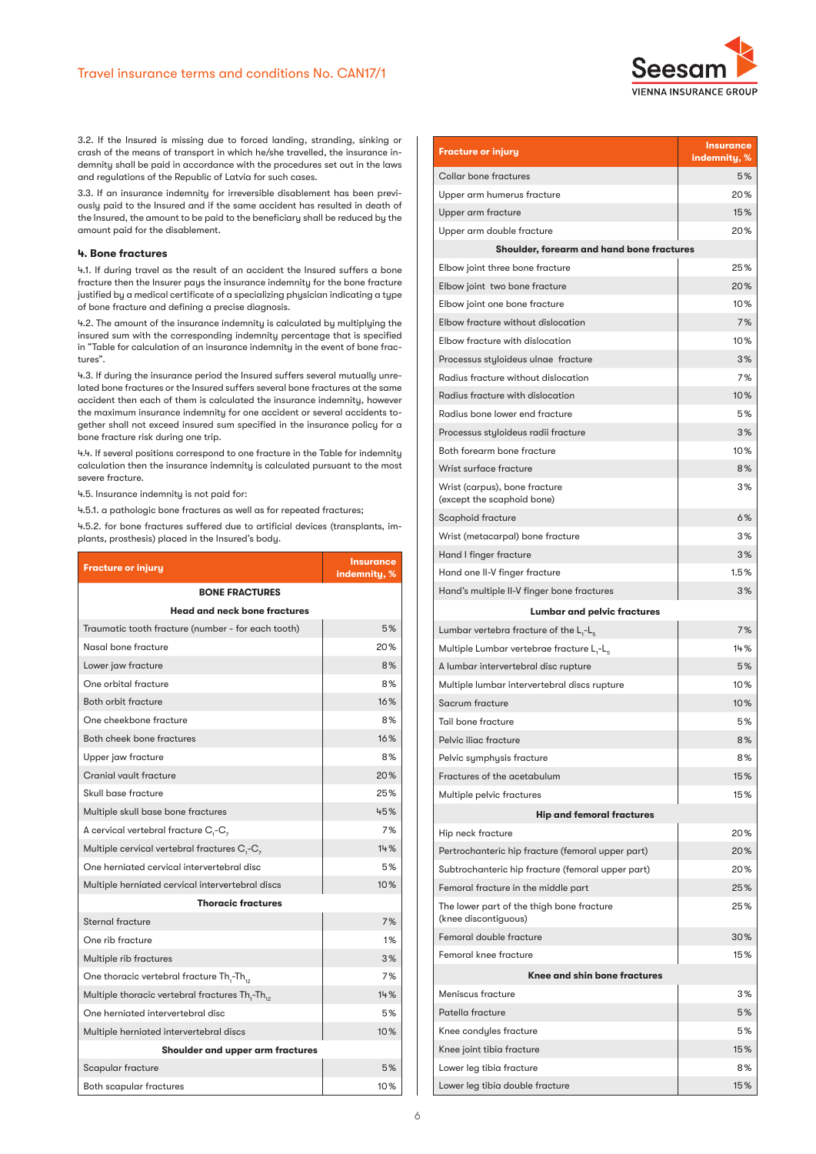

3.2. If the Insured is missing due to forced landing, stranding, sinking or crash of the means of transport in which he/she travelled, the insurance indemnity shall be paid in accordance with the procedures set out in the laws and regulations of the Republic of Latvia for such cases.

3.3. If an insurance indemnity for irreversible disablement has been previously paid to the Insured and if the same accident has resulted in death of the Insured, the amount to be paid to the beneficiary shall be reduced by the amount paid for the disablement.

## **4. Bone fractures**

4.1. If during travel as the result of an accident the Insured suffers a bone fracture then the Insurer pays the insurance indemnity for the bone fracture justified by a medical certificate of a specializing physician indicating a type of bone fracture and defining a precise diagnosis.

4.2. The amount of the insurance indemnity is calculated by multiplying the insured sum with the corresponding indemnity percentage that is specified in "Table for calculation of an insurance indemnity in the event of bone fractures".

4.3. If during the insurance period the Insured suffers several mutually unrelated bone fractures or the Insured suffers several bone fractures at the same accident then each of them is calculated the insurance indemnity, however the maximum insurance indemnity for one accident or several accidents together shall not exceed insured sum specified in the insurance policy for a bone fracture risk during one trip.

4.4. If several positions correspond to one fracture in the Table for indemnity calculation then the insurance indemnity is calculated pursuant to the most severe fracture.

4.5. Insurance indemnity is not paid for:

4.5.1. a pathologic bone fractures as well as for repeated fractures;

4.5.2. for bone fractures suffered due to artificial devices (transplants, implants, prosthesis) placed in the Insured's body.

| <b>Fracture or injury</b>                                   | <b>Insurance</b><br>indemnity, % |  |
|-------------------------------------------------------------|----------------------------------|--|
| <b>BONE FRACTURES</b>                                       |                                  |  |
| <b>Head and neck bone fractures</b>                         |                                  |  |
| Traumatic tooth fracture (number - for each tooth)          | 5%                               |  |
| Nasal bone fracture                                         | 20%                              |  |
| Lower jaw fracture                                          | 8%                               |  |
| One orbital fracture                                        | 8%                               |  |
| Both orbit fracture                                         | 16%                              |  |
| One cheekbone fracture                                      | 8%                               |  |
| Both cheek bone fractures                                   | 16%                              |  |
| Upper jaw fracture                                          | 8%                               |  |
| Cranial vault fracture                                      | 20%                              |  |
| Skull base fracture                                         | 25%                              |  |
| Multiple skull base bone fractures                          | 45%                              |  |
| A cervical vertebral fracture $C, -C$ ,                     | 7%                               |  |
| Multiple cervical vertebral fractures $C_1$ - $C_7$         | 14%                              |  |
| One herniated cervical intervertebral disc                  | 5%                               |  |
| Multiple herniated cervical intervertebral discs            | 10%                              |  |
| <b>Thoracic fractures</b>                                   |                                  |  |
| Sternal fracture                                            | 7%                               |  |
| One rib fracture                                            | 1%                               |  |
| Multiple rib fractures                                      | 3%                               |  |
| One thoracic vertebral fracture $\text{Th}_{1}$ -Th $_{12}$ | 7%                               |  |
| Multiple thoracic vertebral fractures Th,-Th,               | 14%                              |  |
| One herniated intervertebral disc                           | 5%                               |  |
| Multiple herniated intervertebral discs                     | 10%                              |  |
| Shoulder and upper arm fractures                            |                                  |  |
| Scapular fracture                                           | 5%                               |  |
| Both scapular fractures                                     | 10%                              |  |

| <b>Fracture or injury</b>                                         | <b>Insurance</b><br>indemnity, % |  |
|-------------------------------------------------------------------|----------------------------------|--|
| Collar bone fractures                                             | 5%                               |  |
| Upper arm humerus fracture                                        | 20%                              |  |
| Upper arm fracture                                                | 15%                              |  |
| Upper arm double fracture                                         | 20%                              |  |
| Shoulder, forearm and hand bone fractures                         |                                  |  |
| Elbow joint three bone fracture                                   | 25%                              |  |
| Elbow joint two bone fracture                                     | 20%                              |  |
| Elbow joint one bone fracture                                     | 10%                              |  |
| Elbow fracture without dislocation                                | 7%                               |  |
| Elbow fracture with dislocation                                   | 10%                              |  |
| Processus styloideus ulnae fracture                               | 3%                               |  |
| Radius fracture without dislocation                               | 7%                               |  |
| Radius fracture with dislocation                                  | 10%                              |  |
| Radius bone lower end fracture                                    | 5%                               |  |
| Processus styloideus radii fracture                               | 3%                               |  |
| Both forearm bone fracture                                        | 10%                              |  |
| Wrist surface fracture                                            | 8%                               |  |
| Wrist (carpus), bone fracture<br>(except the scaphoid bone)       | 3%                               |  |
| Scaphoid fracture                                                 | 6%                               |  |
| Wrist (metacarpal) bone fracture                                  | 3%                               |  |
| Hand I finger fracture                                            | 3%                               |  |
| Hand one II-V finger fracture                                     | 1.5%                             |  |
| Hand's multiple II-V finger bone fractures                        | 3%                               |  |
| <b>Lumbar and pelvic fractures</b>                                |                                  |  |
| Lumbar vertebra fracture of the $L, -L,$                          | 7%                               |  |
| Multiple Lumbar vertebrae fracture L.-L.                          | 14%                              |  |
| A lumbar intervertebral disc rupture                              | 5%                               |  |
| Multiple lumbar intervertebral discs rupture                      | 10%                              |  |
| Sacrum fracture                                                   | 10%                              |  |
| Tail bone fracture                                                | 5%                               |  |
| Pelvic iliac fracture                                             | 8%                               |  |
| Pelvic symphysis fracture                                         | 8%                               |  |
| Fractures of the acetabulum                                       | 15%                              |  |
| Multiple pelvic fractures                                         | 15%                              |  |
| <b>Hip and femoral fractures</b>                                  |                                  |  |
| Hip neck fracture                                                 | 20%                              |  |
| Pertrochanteric hip fracture (femoral upper part)                 | 20%                              |  |
| Subtrochanteric hip fracture (femoral upper part)                 | 20%                              |  |
| Femoral fracture in the middle part                               | 25%                              |  |
| The lower part of the thigh bone fracture<br>(knee discontiquous) | 25%                              |  |
| Femoral double fracture                                           | 30%                              |  |
| Femoral knee fracture                                             | 15%                              |  |
| Knee and shin bone fractures                                      |                                  |  |
| Meniscus fracture                                                 | 3%                               |  |
| Patella fracture                                                  | 5%                               |  |
| Knee condyles fracture                                            | 5%                               |  |
| Knee joint tibia fracture                                         | 15%                              |  |
| Lower leg tibia fracture                                          | 8%                               |  |
| Lower leg tibia double fracture                                   | 15%                              |  |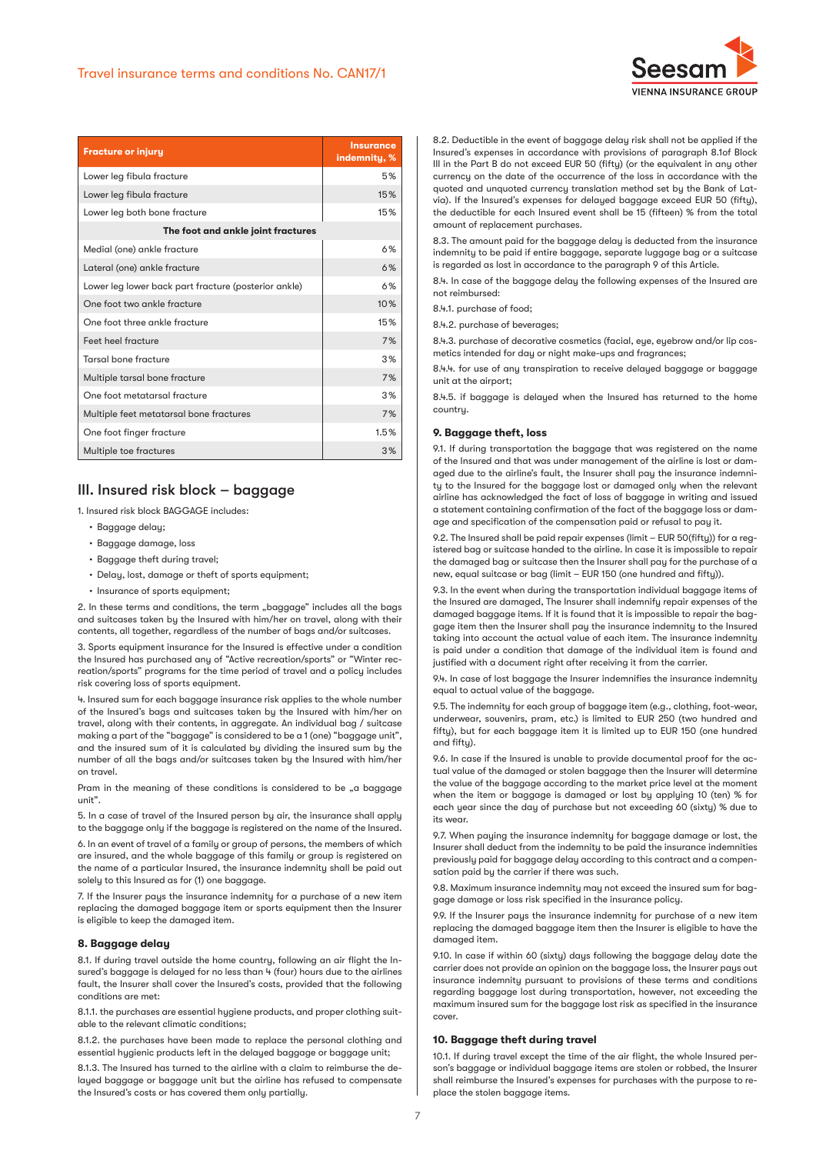

| <b>Fracture or injury</b>                            | <b>Insurance</b><br>indemnity, % |  |
|------------------------------------------------------|----------------------------------|--|
| Lower leg fibula fracture                            | 5%                               |  |
| Lower leg fibula fracture                            | 15%                              |  |
| Lower leg both bone fracture                         | 15%                              |  |
| The foot and ankle joint fractures                   |                                  |  |
| Medial (one) ankle fracture                          | 6%                               |  |
| Lateral (one) ankle fracture                         | 6%                               |  |
| Lower leg lower back part fracture (posterior ankle) | 6%                               |  |
| One foot two ankle fracture                          | 10%                              |  |
| One foot three ankle fracture                        | 15%                              |  |
| Feet heel fracture                                   | 7%                               |  |
| Tarsal bone fracture                                 | 3%                               |  |
| Multiple tarsal bone fracture                        | 7%                               |  |
| One foot metatarsal fracture                         | 3%                               |  |
| Multiple feet metatarsal bone fractures              | 7%                               |  |
| One foot finger fracture                             | 1.5%                             |  |
| Multiple toe fractures                               | 3%                               |  |

# III. Insured risk block – baggage

1. Insured risk block BAGGAGE includes:

- Baggage delay;
- Baggage damage, loss
- Baggage theft during travel;
- Delay, lost, damage or theft of sports equipment;
- Insurance of sports equipment:

2. In these terms and conditions, the term "baggage" includes all the bags and suitcases taken by the Insured with him/her on travel, along with their contents, all together, regardless of the number of bags and/or suitcases.

3. Sports equipment insurance for the Insured is effective under a condition the Insured has purchased any of "Active recreation/sports" or "Winter recreation/sports" programs for the time period of travel and a policy includes risk covering loss of sports equipment.

4. Insured sum for each baggage insurance risk applies to the whole number of the Insured's bags and suitcases taken by the Insured with him/her on travel, along with their contents, in aggregate. An individual bag / suitcase making a part of the "baggage" is considered to be a 1 (one) "baggage unit", and the insured sum of it is calculated by dividing the insured sum by the number of all the bags and/or suitcases taken by the Insured with him/her on travel.

Pram in the meaning of these conditions is considered to be "a baggage unit".

5. In a case of travel of the Insured person by air, the insurance shall apply to the baggage only if the baggage is registered on the name of the Insured.

6. In an event of travel of a family or group of persons, the members of which are insured, and the whole baggage of this family or group is registered on the name of a particular Insured, the insurance indemnity shall be paid out solely to this Insured as for (1) one baggage.

7. If the Insurer pays the insurance indemnity for a purchase of a new item replacing the damaged baggage item or sports equipment then the Insurer is eligible to keep the damaged item.

#### **8. Baggage delay**

8.1. If during travel outside the home country, following an air flight the Insured's baggage is delayed for no less than 4 (four) hours due to the airlines fault, the Insurer shall cover the Insured's costs, provided that the following conditions are met:

8.1.1. the purchases are essential hygiene products, and proper clothing suitable to the relevant climatic conditions;

8.1.2. the purchases have been made to replace the personal clothing and essential hygienic products left in the delayed baggage or baggage unit;

8.1.3. The Insured has turned to the airline with a claim to reimburse the delayed baggage or baggage unit but the airline has refused to compensate the Insured's costs or has covered them only partially.

8.2. Deductible in the event of baggage delay risk shall not be applied if the Insured's expenses in accordance with provisions of paragraph 8.1of Block III in the Part B do not exceed EUR 50 (fifty) (or the equivalent in any other currency on the date of the occurrence of the loss in accordance with the quoted and unquoted currency translation method set by the Bank of Latvia). If the Insured's expenses for delayed baggage exceed EUR 50 (fifty), the deductible for each Insured event shall be 15 (fifteen) % from the total amount of replacement purchases.

8.3. The amount paid for the baggage delay is deducted from the insurance indemnity to be paid if entire baggage, separate luggage bag or a suitcase is regarded as lost in accordance to the paragraph 9 of this Article.

8.4. In case of the baggage delay the following expenses of the Insured are not reimbursed:

8.4.1. purchase of food;

8.4.2. purchase of beverages:

8.4.3. purchase of decorative cosmetics (facial, eye, eyebrow and/or lip cosmetics intended for day or night make-ups and fragrances;

8.4.4. for use of any transpiration to receive delayed baggage or baggage unit at the airport;

8.4.5. if baggage is delayed when the Insured has returned to the home country.

#### **9. Baggage theft, loss**

9.1. If during transportation the baggage that was registered on the name of the Insured and that was under management of the airline is lost or damaged due to the airline's fault, the Insurer shall pay the insurance indemnity to the Insured for the baggage lost or damaged only when the relevant airline has acknowledged the fact of loss of baggage in writing and issued a statement containing confirmation of the fact of the baggage loss or damage and specification of the compensation paid or refusal to pay it.

9.2. The Insured shall be paid repair expenses (limit – EUR 50(fifty)) for a registered bag or suitcase handed to the airline. In case it is impossible to repair the damaged bag or suitcase then the Insurer shall pay for the purchase of a new, equal suitcase or bag (limit – EUR 150 (one hundred and fifty)).

9.3. In the event when during the transportation individual baggage items of the Insured are damaged, The Insurer shall indemnify repair expenses of the damaged baggage items. If it is found that it is impossible to repair the baggage item then the Insurer shall pay the insurance indemnity to the Insured taking into account the actual value of each item. The insurance indemnity is paid under a condition that damage of the individual item is found and iustified with a document right after receiving it from the carrier.

9.4. In case of lost baggage the Insurer indemnifies the insurance indemnity equal to actual value of the baggage.

9.5. The indemnity for each group of baggage item (e.g., clothing, foot-wear, underwear, souvenirs, pram, etc.) is limited to EUR 250 (two hundred and fifty), but for each baggage item it is limited up to EUR 150 (one hundred and fifty).

9.6. In case if the Insured is unable to provide documental proof for the actual value of the damaged or stolen baggage then the Insurer will determine the value of the baggage according to the market price level at the moment when the item or baggage is damaged or lost by applying 10 (ten) % for each year since the day of purchase but not exceeding 60 (sixty) % due to its wear.

9.7. When paying the insurance indemnity for baggage damage or lost, the Insurer shall deduct from the indemnity to be paid the insurance indemnities previously paid for baggage delay according to this contract and a compensation paid by the carrier if there was such.

9.8. Maximum insurance indemnity may not exceed the insured sum for baggage damage or loss risk specified in the insurance policy.

9.9. If the Insurer pays the insurance indemnity for purchase of a new item replacing the damaged baggage item then the Insurer is eligible to have the damaged item.

9.10. In case if within 60 (sixty) days following the baggage delay date the carrier does not provide an opinion on the baggage loss, the Insurer pays out insurance indemnity pursuant to provisions of these terms and conditions regarding baggage lost during transportation, however, not exceeding the maximum insured sum for the baggage lost risk as specified in the insurance cover.

## **10. Baggage theft during travel**

10.1. If during travel except the time of the air flight, the whole Insured person's baggage or individual baggage items are stolen or robbed, the Insurer shall reimburse the Insured's expenses for purchases with the purpose to replace the stolen baggage items.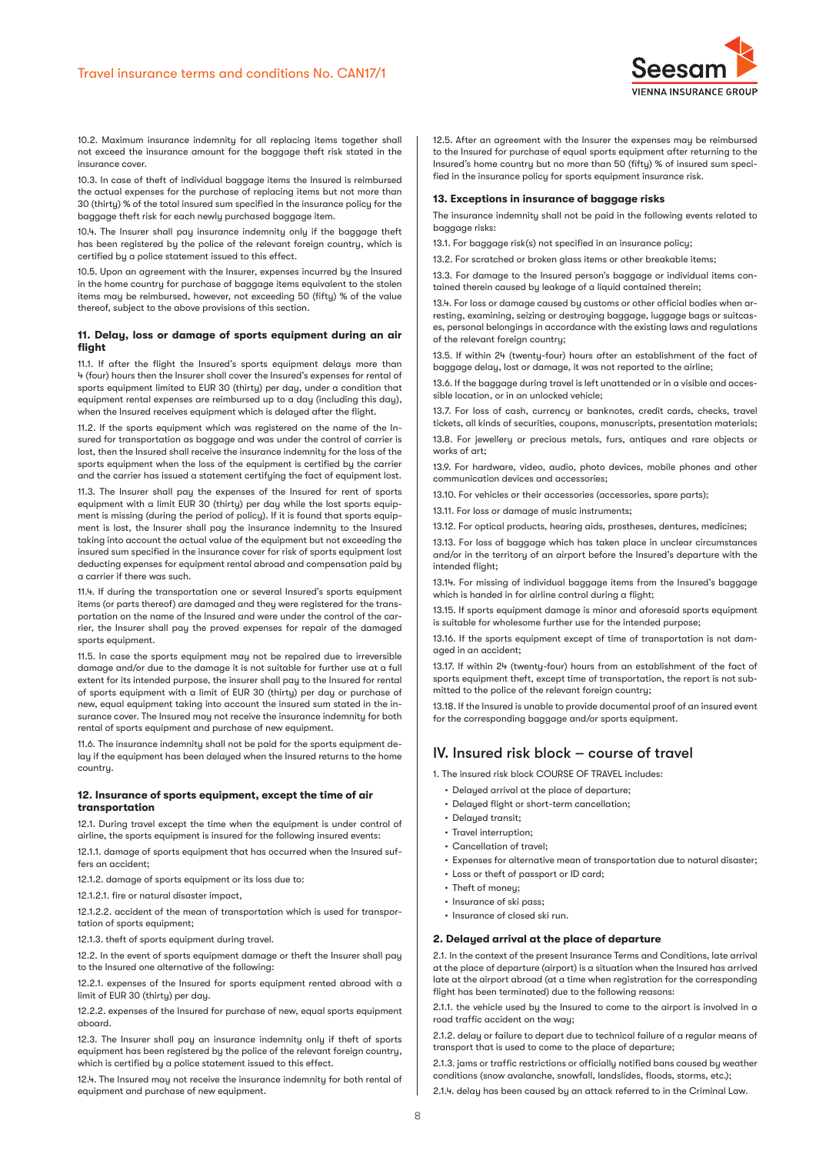

10.2. Maximum insurance indemnity for all replacing items together shall not exceed the insurance amount for the baggage theft risk stated in the insurance cover.

10.3. In case of theft of individual baggage items the Insured is reimbursed the actual expenses for the purchase of replacing items but not more than 30 (thirty) % of the total insured sum specified in the insurance policy for the baggage theft risk for each newly purchased baggage item.

10.4. The Insurer shall pay insurance indemnity only if the baggage theft has been registered by the police of the relevant foreign country, which is certified by a police statement issued to this effect.

10.5. Upon an agreement with the Insurer, expenses incurred by the Insured in the home country for purchase of baggage items equivalent to the stolen items may be reimbursed, however, not exceeding 50 (fifty) % of the value thereof, subject to the above provisions of this section.

## **11. Delay, loss or damage of sports equipment during an air flight**

11.1. If after the flight the Insured's sports equipment delays more than 4 (four) hours then the Insurer shall cover the Insured's expenses for rental of sports equipment limited to EUR 30 (thirty) per day, under a condition that equipment rental expenses are reimbursed up to a day (including this day), when the Insured receives equipment which is delayed after the flight.

11.2. If the sports equipment which was registered on the name of the Insured for transportation as baggage and was under the control of carrier is lost, then the Insured shall receive the insurance indemnity for the loss of the sports equipment when the loss of the equipment is certified by the carrier and the carrier has issued a statement certifying the fact of equipment lost.

11.3. The Insurer shall pay the expenses of the Insured for rent of sports equipment with a limit EUR 30 (thirty) per day while the lost sports equipment is missing (during the period of policy). If it is found that sports equipment is lost, the Insurer shall pay the insurance indemnity to the Insured taking into account the actual value of the equipment but not exceeding the insured sum specified in the insurance cover for risk of sports equipment lost deducting expenses for equipment rental abroad and compensation paid by a carrier if there was such.

11.4. If during the transportation one or several Insured's sports equipment items (or parts thereof) are damaged and they were registered for the transportation on the name of the Insured and were under the control of the carrier, the Insurer shall pay the proved expenses for repair of the damaged sports equipment.

11.5. In case the sports equipment may not be repaired due to irreversible damage and/or due to the damage it is not suitable for further use at a full extent for its intended purpose, the insurer shall pay to the Insured for rental of sports equipment with a limit of EUR 30 (thirty) per day or purchase of new, equal equipment taking into account the insured sum stated in the insurance cover. The Insured may not receive the insurance indemnity for both rental of sports equipment and purchase of new equipment.

11.6. The insurance indemnity shall not be paid for the sports equipment delay if the equipment has been delayed when the Insured returns to the home country.

#### **12. Insurance of sports equipment, except the time of air transportation**

12.1. During travel except the time when the equipment is under control of airline, the sports equipment is insured for the following insured events:

12.1.1. damage of sports equipment that has occurred when the Insured suffers an accident;

12.1.2. damage of sports equipment or its loss due to:

12.1.2.1. fire or natural disaster impact,

12.1.2.2. accident of the mean of transportation which is used for transportation of sports equipment;

12.1.3. theft of sports equipment during travel.

12.2. In the event of sports equipment damage or theft the Insurer shall pay to the Insured one alternative of the following:

12.2.1. expenses of the Insured for sports equipment rented abroad with a limit of EUR 30 (thirty) per day.

12.2.2. expenses of the Insured for purchase of new, equal sports equipment aboard.

12.3. The Insurer shall pay an insurance indemnity only if theft of sports equipment has been registered by the police of the relevant foreign country, which is certified by a police statement issued to this effect.

12.4. The Insured may not receive the insurance indemnity for both rental of equipment and purchase of new equipment.

12.5. After an agreement with the Insurer the expenses may be reimbursed to the Insured for purchase of equal sports equipment after returning to the Insured's home country but no more than 50 (fifty) % of insured sum specified in the insurance policu for sports equipment insurance risk.

## **13. Exceptions in insurance of baggage risks**

The insurance indemnity shall not be paid in the following events related to baggage risks:

13.1. For baggage risk(s) not specified in an insurance policy;

13.2. For scratched or broken glass items or other breakable items;

13.3. For damage to the Insured person's baggage or individual items contained therein caused by leakage of a liquid contained therein;

13.4. For loss or damage caused by customs or other official bodies when arresting, examining, seizing or destroying baggage, luggage bags or suitcases, personal belongings in accordance with the existing laws and regulations of the relevant foreign country;

13.5. If within 24 (twenty-four) hours after an establishment of the fact of baggage delay, lost or damage, it was not reported to the airline;

13.6. If the baggage during travel is left unattended or in a visible and accessible location, or in an unlocked vehicle;

13.7. For loss of cash, currency or banknotes, credit cards, checks, travel tickets, all kinds of securities, coupons, manuscripts, presentation materials;

13.8. For jewellery or precious metals, furs, antiques and rare objects or works of art;

13.9. For hardware, video, audio, photo devices, mobile phones and other communication devices and accessories;

13.10. For vehicles or their accessories (accessories, spare parts);

13.11. For loss or damage of music instruments;

13.12. For optical products, hearing aids, prostheses, dentures, medicines;

13.13. For loss of baggage which has taken place in unclear circumstances and/or in the territory of an airport before the Insured's departure with the intended flight;

13.14. For missing of individual baggage items from the Insured's baggage which is handed in for airline control during a flight;

13.15. If sports equipment damage is minor and aforesaid sports equipment is suitable for wholesome further use for the intended purpose;

13.16. If the sports equipment except of time of transportation is not damaged in an accident;

13.17. If within 24 (twenty-four) hours from an establishment of the fact of sports equipment theft, except time of transportation, the report is not submitted to the police of the relevant foreign country;

13.18. If the Insured is unable to provide documental proof of an insured event for the corresponding baggage and/or sports equipment.

# IV. Insured risk block – course of travel

1. The insured risk block COURSE OF TRAVEL includes:

- Delayed arrival at the place of departure:
- Delayed flight or short-term cancellation;
- Delayed transit;
- Travel interruption;
- Cancellation of travel;
- Expenses for alternative mean of transportation due to natural disaster;
- Loss or theft of passport or ID card;
- Theft of money;
- Insurance of ski pass;
- Insurance of closed ski run.

# **2. Delayed arrival at the place of departure**

2.1. In the context of the present Insurance Terms and Conditions, late arrival at the place of departure (airport) is a situation when the Insured has arrived late at the airport abroad (at a time when registration for the corresponding flight has been terminated) due to the following reasons:

2.1.1. the vehicle used by the Insured to come to the airport is involved in a road traffic accident on the way;

2.1.2. delay or failure to depart due to technical failure of a regular means of transport that is used to come to the place of departure;

2.1.3. jams or traffic restrictions or officially notified bans caused by weather conditions (snow avalanche, snowfall, landslides, floods, storms, etc.);

2.1.4. delay has been caused by an attack referred to in the Criminal Law.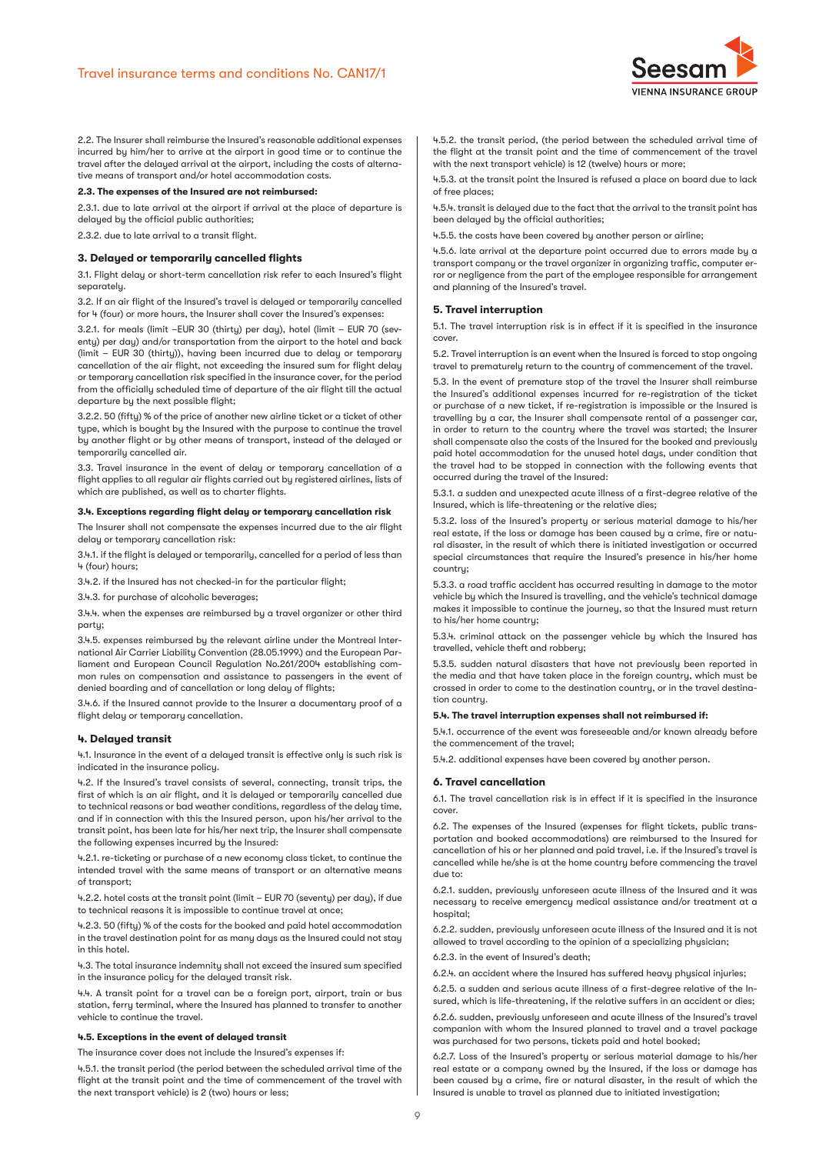

2.2. The Insurer shall reimburse the Insured's reasonable additional expenses incurred by him/her to arrive at the airport in good time or to continue the travel after the delayed arrival at the airport, including the costs of alternative means of transport and/or hotel accommodation costs.

#### **2.3. The expenses of the Insured are not reimbursed:**

2.3.1. due to late arrival at the airport if arrival at the place of departure is delayed by the official public authorities;

2.3.2. due to late arrival to a transit flight.

# **3. Delayed or temporarily cancelled flights**

3.1. Flight delay or short-term cancellation risk refer to each Insured's flight separately.

3.2. If an air flight of the Insured's travel is delayed or temporarily cancelled for 4 (four) or more hours, the Insurer shall cover the Insured's expenses:

3.2.1. for meals (limit –EUR 30 (thirty) per day), hotel (limit – EUR 70 (seventy) per day) and/or transportation from the airport to the hotel and back (limit – EUR 30 (thirty)), having been incurred due to delay or temporary cancellation of the air flight, not exceeding the insured sum for flight delay or temporary cancellation risk specified in the insurance cover, for the period from the officially scheduled time of departure of the air flight till the actual departure by the next possible flight;

3.2.2. 50 (fifty) % of the price of another new airline ticket or a ticket of other type, which is bought by the Insured with the purpose to continue the travel by another flight or by other means of transport, instead of the delayed or temporarily cancelled air.

3.3. Travel insurance in the event of delay or temporary cancellation of a flight applies to all regular air flights carried out by registered airlines, lists of which are published, as well as to charter flights.

### **3.4. Exceptions regarding flight delay or temporary cancellation risk**

The Insurer shall not compensate the expenses incurred due to the air flight delay or temporary cancellation risk:

3.4.1. if the flight is delayed or temporarily, cancelled for a period of less than 4 (four) hours;

3.4.2. if the Insured has not checked-in for the particular flight;

3.4.3. for purchase of alcoholic beverages;

3.4.4. when the expenses are reimbursed by a travel organizer or other third party;

3.4.5. expenses reimbursed by the relevant airline under the Montreal International Air Carrier Liability Convention (28.05.1999.) and the European Parliament and European Council Regulation No.261/2004 establishing common rules on compensation and assistance to passengers in the event of denied boarding and of cancellation or long delay of flights;

3.4.6. if the Insured cannot provide to the Insurer a documentary proof of a flight delay or temporary cancellation.

#### **4. Delayed transit**

4.1. Insurance in the event of a delayed transit is effective only is such risk is indicated in the insurance policy.

4.2. If the Insured's travel consists of several, connecting, transit trips, the first of which is an air flight, and it is delayed or temporarily cancelled due to technical reasons or bad weather conditions, regardless of the delay time, and if in connection with this the Insured person, upon his/her arrival to the transit point, has been late for his/her next trip, the Insurer shall compensate the following expenses incurred by the Insured:

4.2.1. re-ticketing or purchase of a new economy class ticket, to continue the intended travel with the same means of transport or an alternative means of transport;

4.2.2. hotel costs at the transit point (limit – EUR 70 (seventy) per day), if due to technical reasons it is impossible to continue travel at once;

4.2.3. 50 (fifty) % of the costs for the booked and paid hotel accommodation in the travel destination point for as many days as the Insured could not stay in this hotel.

4.3. The total insurance indemnity shall not exceed the insured sum specified in the insurance policy for the delayed transit risk.

4.4. A transit point for a travel can be a foreign port, airport, train or bus station, ferry terminal, where the Insured has planned to transfer to another vehicle to continue the travel.

#### **4.5. Exceptions in the event of delayed transit**

The insurance cover does not include the Insured's expenses if:

4.5.1. the transit period (the period between the scheduled arrival time of the flight at the transit point and the time of commencement of the travel with the next transport vehicle) is 2 (two) hours or less;

4.5.2. the transit period, (the period between the scheduled arrival time of the flight at the transit point and the time of commencement of the travel with the next transport vehicle) is 12 (twelve) hours or more;

4.5.3. at the transit point the Insured is refused a place on board due to lack of free places;

4.5.4. transit is delayed due to the fact that the arrival to the transit point has been delayed by the official authorities;

4.5.5. the costs have been covered by another person or airline;

4.5.6. late arrival at the departure point occurred due to errors made by a transport company or the travel organizer in organizing traffic, computer error or negligence from the part of the employee responsible for arrangement and planning of the Insured's travel.

#### **5. Travel interruption**

5.1. The travel interruption risk is in effect if it is specified in the insurance cover.

5.2. Travel interruption is an event when the Insured is forced to stop ongoing travel to prematurely return to the country of commencement of the travel.

5.3. In the event of premature stop of the travel the Insurer shall reimburse the Insured's additional expenses incurred for re-registration of the ticket or purchase of a new ticket, if re-registration is impossible or the Insured is travelling by a car, the Insurer shall compensate rental of a passenger car, in order to return to the country where the travel was started; the Insurer shall compensate also the costs of the Insured for the booked and previously paid hotel accommodation for the unused hotel days, under condition that the travel had to be stopped in connection with the following events that occurred during the travel of the Insured:

5.3.1. a sudden and unexpected acute illness of a first-degree relative of the Insured, which is life-threatening or the relative dies;

5.3.2. loss of the Insured's property or serious material damage to his/her real estate, if the loss or damage has been caused by a crime, fire or natural disaster, in the result of which there is initiated investigation or occurred special circumstances that require the Insured's presence in his/her home country;

5.3.3. a road traffic accident has occurred resulting in damage to the motor vehicle by which the Insured is travelling, and the vehicle's technical damage makes it impossible to continue the journey, so that the Insured must return to his/her home country;

5.3.4. criminal attack on the passenger vehicle by which the Insured has travelled, vehicle theft and robbery;

5.3.5. sudden natural disasters that have not previously been reported in the media and that have taken place in the foreign country, which must be crossed in order to come to the destination country, or in the travel destination country.

## **5.4. The travel interruption expenses shall not reimbursed if:**

5.4.1. occurrence of the event was foreseeable and/or known already before the commencement of the travel;

5.4.2. additional expenses have been covered by another person.

#### **6. Travel cancellation**

6.1. The travel cancellation risk is in effect if it is specified in the insurance cover.

6.2. The expenses of the Insured (expenses for flight tickets, public transportation and booked accommodations) are reimbursed to the Insured for cancellation of his or her planned and paid travel, i.e. if the Insured's travel is cancelled while he/she is at the home country before commencing the travel due to:

6.2.1. sudden, previously unforeseen acute illness of the Insured and it was necessary to receive emergency medical assistance and/or treatment at a hospital;

6.2.2. sudden, previously unforeseen acute illness of the Insured and it is not allowed to travel according to the opinion of a specializing physician;

6.2.3. in the event of Insured's death;

6.2.4. an accident where the Insured has suffered heavy physical injuries;

6.2.5. a sudden and serious acute illness of a first-degree relative of the Insured, which is life-threatening, if the relative suffers in an accident or dies;

6.2.6. sudden, previously unforeseen and acute illness of the Insured's travel companion with whom the Insured planned to travel and a travel package was purchased for two persons, tickets paid and hotel booked;

6.2.7. Loss of the Insured's property or serious material damage to his/her real estate or a company owned by the Insured, if the loss or damage has been caused by a crime, fire or natural disaster, in the result of which the Insured is unable to travel as planned due to initiated investigation;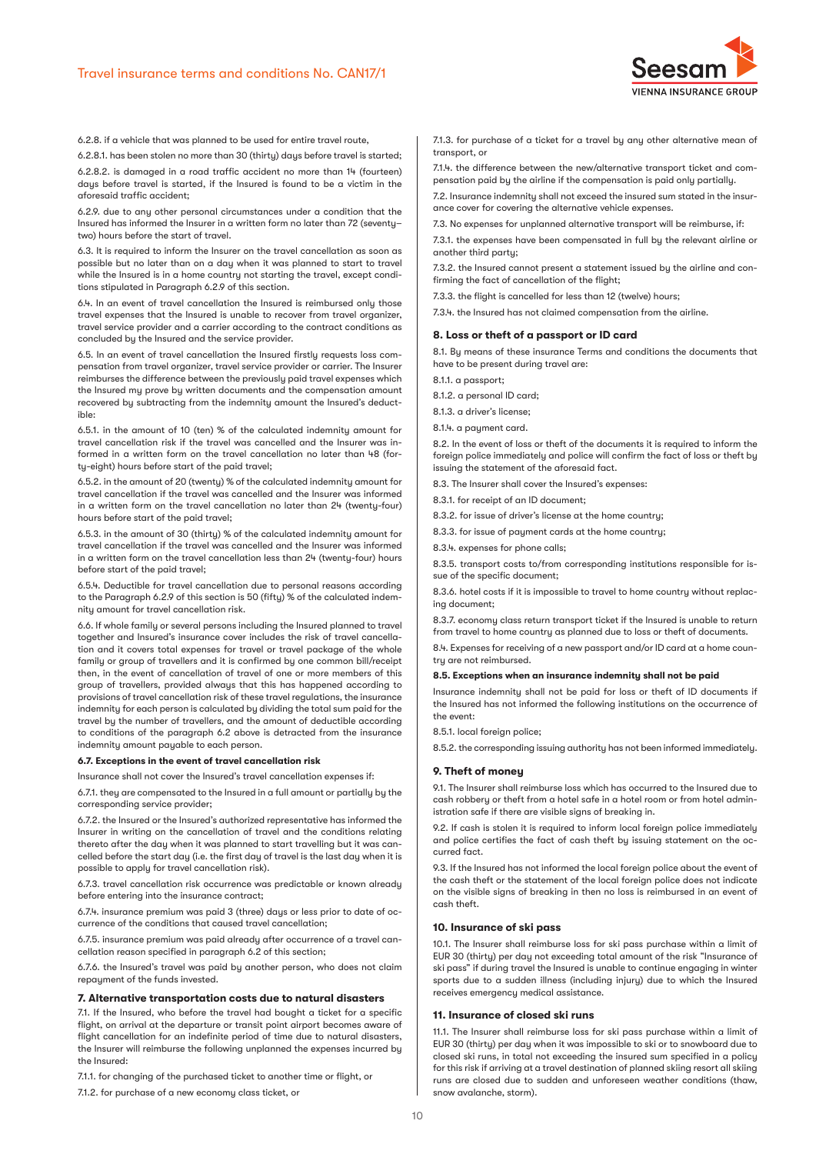

6.2.8. if a vehicle that was planned to be used for entire travel route,

6.2.8.1. has been stolen no more than 30 (thirty) days before travel is started; 6.2.8.2. is damaged in a road traffic accident no more than 14 (fourteen) days before travel is started, if the Insured is found to be a victim in the aforesaid traffic accident;

6.2.9. due to any other personal circumstances under a condition that the Insured has informed the Insurer in a written form no later than 72 (seventy– two) hours before the start of travel.

6.3. It is required to inform the Insurer on the travel cancellation as soon as possible but no later than on a day when it was planned to start to travel while the Insured is in a home country not starting the travel, except conditions stipulated in Paragraph 6.2.9 of this section.

6.4. In an event of travel cancellation the Insured is reimbursed only those travel expenses that the Insured is unable to recover from travel organizer, travel service provider and a carrier according to the contract conditions as concluded by the Insured and the service provider.

6.5. In an event of travel cancellation the Insured firstly requests loss compensation from travel organizer, travel service provider or carrier. The Insurer reimburses the difference between the previously paid travel expenses which the Insured mu prove bu written documents and the compensation amount recovered by subtracting from the indemnity amount the Insured's deductible:

6.5.1. in the amount of 10 (ten) % of the calculated indemnity amount for travel cancellation risk if the travel was cancelled and the Insurer was informed in a written form on the travel cancellation no later than 48 (forty-eight) hours before start of the paid travel;

6.5.2. in the amount of 20 (twenty) % of the calculated indemnity amount for travel cancellation if the travel was cancelled and the Insurer was informed in a written form on the travel cancellation no later than 24 (twenty-four) hours before start of the paid travel;

6.5.3. in the amount of 30 (thirty) % of the calculated indemnity amount for travel cancellation if the travel was cancelled and the Insurer was informed in a written form on the travel cancellation less than 24 (twenty-four) hours before start of the paid travel;

6.5.4. Deductible for travel cancellation due to personal reasons according to the Paragraph 6.2.9 of this section is 50 (fifty) % of the calculated indemnity amount for travel cancellation risk.

6.6. If whole family or several persons including the Insured planned to travel together and Insured's insurance cover includes the risk of travel cancellation and it covers total expenses for travel or travel package of the whole family or group of travellers and it is confirmed by one common bill/receipt then, in the event of cancellation of travel of one or more members of this group of travellers, provided always that this has happened according to provisions of travel cancellation risk of these travel regulations, the insurance indemnity for each person is calculated by dividing the total sum paid for the travel by the number of travellers, and the amount of deductible according to conditions of the paragraph 6.2 above is detracted from the insurance indemnity amount payable to each person.

#### **6.7. Exceptions in the event of travel cancellation risk**

surance shall not cover the Insured's travel cancellation expenses if:

6.7.1. they are compensated to the Insured in a full amount or partially by the corresponding service provider;

6.7.2. the Insured or the Insured's authorized representative has informed the Insurer in writing on the cancellation of travel and the conditions relating thereto after the day when it was planned to start travelling but it was cancelled before the start day (i.e. the first day of travel is the last day when it is possible to apply for travel cancellation risk).

6.7.3. travel cancellation risk occurrence was predictable or known already before entering into the insurance contract;

6.7.4. insurance premium was paid 3 (three) days or less prior to date of occurrence of the conditions that caused travel cancellation;

6.7.5. insurance premium was paid already after occurrence of a travel cancellation reason specified in paragraph 6.2 of this section;

6.7.6. the Insured's travel was paid by another person, who does not claim repayment of the funds invested.

#### **7. Alternative transportation costs due to natural disasters**

7.1. If the Insured, who before the travel had bought a ticket for a specific flight, on arrival at the departure or transit point airport becomes aware of flight cancellation for an indefinite period of time due to natural disasters, the Insurer will reimburse the following unplanned the expenses incurred by the Insured:

7.1.1. for changing of the purchased ticket to another time or flight, or 7.1.2. for purchase of a new economy class ticket, or

7.1.3. for purchase of a ticket for a travel by any other alternative mean of transport, or

7.1.4. the difference between the new/alternative transport ticket and compensation paid by the airline if the compensation is paid only partially.

7.2. Insurance indemnity shall not exceed the insured sum stated in the insurance cover for covering the alternative vehicle expenses.

7.3. No expenses for unplanned alternative transport will be reimburse, if:

7.3.1. the expenses have been compensated in full by the relevant airline or another third party;

7.3.2. the Insured cannot present a statement issued by the airline and confirming the fact of cancellation of the flight;

7.3.3. the flight is cancelled for less than 12 (twelve) hours;

7.3.4. the Insured has not claimed compensation from the airline.

#### **8. Loss or theft of a passport or ID card**

8.1. By means of these insurance Terms and conditions the documents that have to be present during travel are:

8.1.1. a passport;

8.1.2. a personal ID card;

8.1.3. a driver's license;

8.1.4. a paument card.

8.2. In the event of loss or theft of the documents it is required to inform the foreign police immediately and police will confirm the fact of loss or theft by issuing the statement of the aforesaid fact.

8.3. The Insurer shall cover the Insured's expenses:

8.3.1. for receipt of an ID document;

8.3.2. for issue of driver's license at the home country;

8.3.3. for issue of payment cards at the home country;

8.3.4. expenses for phone calls;

8.3.5. transport costs to/from corresponding institutions responsible for issue of the specific document;

8.3.6. hotel costs if it is impossible to travel to home country without replacing document;

8.3.7. economy class return transport ticket if the Insured is unable to return from travel to home country as planned due to loss or theft of documents.

8.4. Expenses for receiving of a new passport and/or ID card at a home country are not reimbursed.

#### **8.5. Exceptions when an insurance indemnity shall not be paid**

Insurance indemnity shall not be paid for loss or theft of ID documents if the Insured has not informed the following institutions on the occurrence of the event:

8.5.1. local foreign police:

8.5.2. the corresponding issuing authority has not been informed immediately.

#### **9. Theft of money**

9.1. The Insurer shall reimburse loss which has occurred to the Insured due to cash robbery or theft from a hotel safe in a hotel room or from hotel administration safe if there are visible signs of breaking in.

9.2. If cash is stolen it is required to inform local foreign police immediately and police certifies the fact of cash theft by issuing statement on the occurred fact.

9.3. If the Insured has not informed the local foreign police about the event of the cash theft or the statement of the local foreign police does not indicate on the visible signs of breaking in then no loss is reimbursed in an event of cash theft.

## **10. Insurance of ski pass**

10.1. The Insurer shall reimburse loss for ski pass purchase within a limit of EUR 30 (thirty) per day not exceeding total amount of the risk "Insurance of ski pass" if during travel the Insured is unable to continue engaging in winter sports due to a sudden illness (including injury) due to which the Insured receives emergency medical assistance.

## **11. Insurance of closed ski runs**

11.1. The Insurer shall reimburse loss for ski pass purchase within a limit of EUR 30 (thirty) per day when it was impossible to ski or to snowboard due to closed ski runs, in total not exceeding the insured sum specified in a policy for this risk if arriving at a travel destination of planned skiing resort all skiing runs are closed due to sudden and unforeseen weather conditions (thaw, snow avalanche, storm).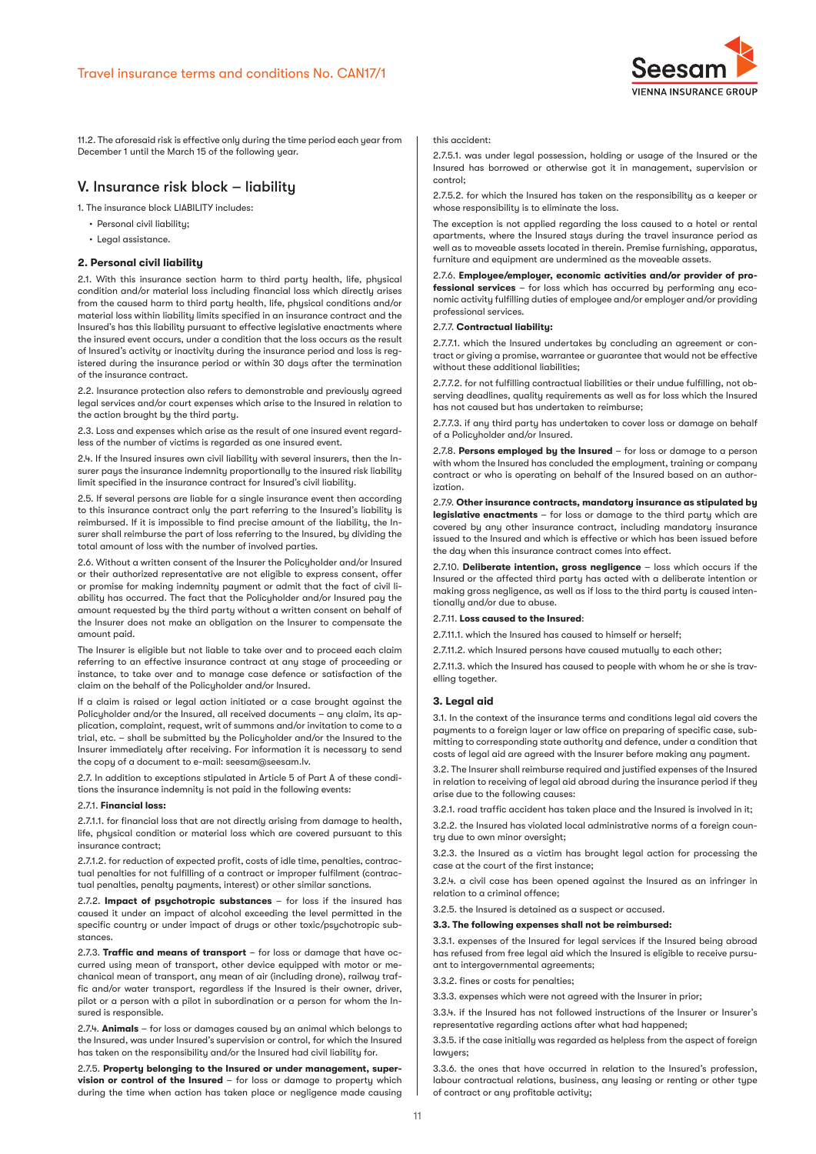

11.2. The aforesaid risk is effective only during the time period each year from December 1 until the March 15 of the following year.

# V. Insurance risk block – liability

1. The insurance block LIABILITY includes:

- Personal civil liability;
- Legal assistance.

# **2. Personal civil liability**

2.1. With this insurance section harm to third party health, life, physical condition and/or material loss including financial loss which directly arises from the caused harm to third party health, life, physical conditions and/or material loss within liability limits specified in an insurance contract and the Insured's has this liability pursuant to effective legislative enactments where the insured event occurs, under a condition that the loss occurs as the result of Insured's activity or inactivity during the insurance period and loss is registered during the insurance period or within 30 days after the termination of the insurance contract.

2.2. Insurance protection also refers to demonstrable and previously agreed legal services and/or court expenses which arise to the Insured in relation to the action brought by the third party.

2.3. Loss and expenses which arise as the result of one insured event regardless of the number of victims is regarded as one insured event.

2.4. If the Insured insures own civil liability with several insurers, then the Insurer pays the insurance indemnity proportionally to the insured risk liability limit specified in the insurance contract for Insured's civil liability.

2.5. If several persons are liable for a single insurance event then according to this insurance contract only the part referring to the Insured's liability is reimbursed. If it is impossible to find precise amount of the liability, the Insurer shall reimburse the part of loss referring to the Insured, by dividing the total amount of loss with the number of involved parties.

2.6. Without a written consent of the Insurer the Policyholder and/or Insured or their authorized representative are not eligible to express consent, offer or promise for making indemnity payment or admit that the fact of civil liability has occurred. The fact that the Policyholder and/or Insured pay the amount requested by the third party without a written consent on behalf of the Insurer does not make an obligation on the Insurer to compensate the amount paid.

The Insurer is eligible but not liable to take over and to proceed each claim referring to an effective insurance contract at any stage of proceeding or instance, to take over and to manage case defence or satisfaction of the claim on the behalf of the Policyholder and/or Insured.

If a claim is raised or legal action initiated or a case brought against the Policyholder and/or the Insured, all received documents – any claim, its application, complaint, request, writ of summons and/or invitation to come to a trial, etc. – shall be submitted by the Policyholder and/or the Insured to the Insurer immediately after receiving. For information it is necessary to send the copy of a document to e-mail: seesam@seesam.lv.

2.7. In addition to exceptions stipulated in Article 5 of Part A of these conditions the insurance indemnity is not paid in the following events:

#### 2.7.1. **Financial loss:**

2.7.1.1. for financial loss that are not directly arising from damage to health, life, physical condition or material loss which are covered pursuant to this insurance contract;

2.7.1.2. for reduction of expected profit, costs of idle time, penalties, contractual penalties for not fulfilling of a contract or improper fulfilment (contractual penalties, penalty payments, interest) or other similar sanctions.

2.7.2. **Impact of psychotropic substances** – for loss if the insured has caused it under an impact of alcohol exceeding the level permitted in the specific countru or under impact of drugs or other toxic/psuchotropic substances.

2.7.3. **Traffic and means of transport** – for loss or damage that have occurred using mean of transport, other device equipped with motor or mechanical mean of transport, any mean of air (including drone), railway traffic and/or water transport, regardless if the Insured is their owner, driver, pilot or a person with a pilot in subordination or a person for whom the Insured is responsible.

2.7.4. **Animals** – for loss or damages caused by an animal which belongs to the Insured, was under Insured's supervision or control, for which the Insured has taken on the responsibility and/or the Insured had civil liability for.

2.7.5. **Property belonging to the Insured or under management, supervision or control of the Insured** – for loss or damage to property which during the time when action has taken place or negligence made causing

#### this accident:

2.7.5.1. was under legal possession, holding or usage of the Insured or the Insured has borrowed or otherwise got it in management, supervision or control;

2.7.5.2. for which the Insured has taken on the responsibility as a keeper or whose responsibility is to eliminate the loss.

The exception is not applied regarding the loss caused to a hotel or rental apartments, where the Insured stays during the travel insurance period as well as to moveable assets located in therein. Premise furnishing, apparatus, furniture and equipment are undermined as the moveable assets.

2.7.6. **Employee/employer, economic activities and/or provider of professional services** – for loss which has occurred by performing any economic activity fulfilling duties of employee and/or employer and/or providing professional services.

## 2.7.7. **Contractual liability:**

2.7.7.1. which the Insured undertakes by concluding an agreement or contract or giving a promise, warrantee or guarantee that would not be effective without these additional liabilities;

2.7.7.2. for not fulfilling contractual liabilities or their undue fulfilling, not observing deadlines, quality requirements as well as for loss which the Insured has not caused but has undertaken to reimburse;

2.7.7.3. if any third party has undertaken to cover loss or damage on behalf of a Policyholder and/or Insured.

2.7.8. **Persons employed by the Insured** – for loss or damage to a person with whom the Insured has concluded the employment, training or company contract or who is operating on behalf of the Insured based on an authorization.

2.7.9. **Other insurance contracts, mandatory insurance as stipulated by legislative enactments** – for loss or damage to the third party which are covered by any other insurance contract, including mandatory insurance issued to the Insured and which is effective or which has been issued before the day when this insurance contract comes into effect.

2.7.10. **Deliberate intention, gross negligence** – loss which occurs if the Insured or the affected third party has acted with a deliberate intention or making gross negligence, as well as if loss to the third party is caused intentionally and/or due to abuse.

## 2.7.11. **Loss caused to the Insured**:

2.7.11.1. which the Insured has caused to himself or herself;

2.7.11.2. which Insured persons have caused mutually to each other;

2.7.11.3. which the Insured has caused to people with whom he or she is travelling together.

## **3. Legal aid**

3.1. In the context of the insurance terms and conditions legal aid covers the payments to a foreign layer or law office on preparing of specific case, submitting to corresponding state authority and defence, under a condition that costs of legal aid are agreed with the Insurer before making any payment.

3.2. The Insurer shall reimburse required and justified expenses of the Insured in relation to receiving of legal aid abroad during the insurance period if they arise due to the following causes:

3.2.1. road traffic accident has taken place and the Insured is involved in it;

3.2.2. the Insured has violated local administrative norms of a foreign country due to own minor oversight;

3.2.3. the Insured as a victim has brought legal action for processing the case at the court of the first instance;

3.2.4. a civil case has been opened against the Insured as an infringer in relation to a criminal offence;

3.2.5. the Insured is detained as a suspect or accused.

#### **3.3. The following expenses shall not be reimbursed:**

3.3.1. expenses of the Insured for legal services if the Insured being abroad has refused from free legal aid which the Insured is eligible to receive pursuant to intergovernmental agreements;

3.3.2. fines or costs for penalties;

3.3.3. expenses which were not agreed with the Insurer in prior;

3.3.4. if the Insured has not followed instructions of the Insurer or Insurer's representative regarding actions after what had happened;

3.3.5. if the case initially was regarded as helpless from the aspect of foreign lawuers:

3.3.6. the ones that have occurred in relation to the Insured's profession, labour contractual relations, business, any leasing or renting or other type of contract or any profitable activity;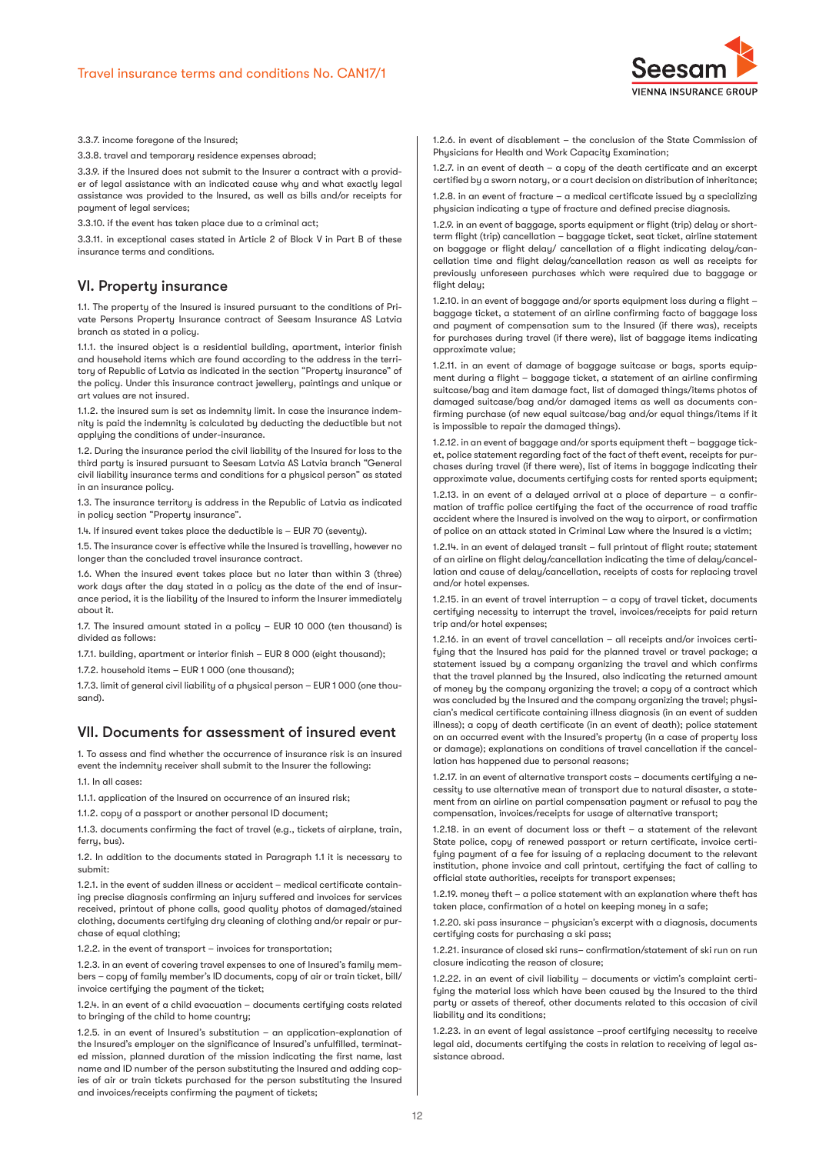

3.3.7. income foregone of the Insured;

3.3.8. travel and temporary residence expenses abroad;

3.3.9. if the Insured does not submit to the Insurer a contract with a provider of legal assistance with an indicated cause why and what exactly legal assistance was provided to the Insured, as well as bills and/or receipts for payment of legal services;

3.3.10. if the event has taken place due to a criminal act;

3.3.11. in exceptional cases stated in Article 2 of Block V in Part B of these insurance terms and conditions.

# VI. Property insurance

1.1. The property of the Insured is insured pursuant to the conditions of Private Persons Property Insurance contract of Seesam Insurance AS Latvia branch as stated in a policy.

1.1.1. the insured object is a residential building, apartment, interior finish and household items which are found according to the address in the territory of Republic of Latvia as indicated in the section "Property insurance" of the policy. Under this insurance contract jewellery, paintings and unique or art values are not insured.

1.1.2. the insured sum is set as indemnity limit. In case the insurance indemnity is paid the indemnity is calculated by deducting the deductible but not applying the conditions of under-insurance.

1.2. During the insurance period the civil liability of the Insured for loss to the third party is insured pursuant to Seesam Latvia AS Latvia branch "General civil liability insurance terms and conditions for a physical person" as stated in an insurance policy.

1.3. The insurance territory is address in the Republic of Latvia as indicated in policy section "Property insurance".

1.4. If insured event takes place the deductible is – EUR 70 (seventy).

1.5. The insurance cover is effective while the Insured is travelling, however no longer than the concluded travel insurance contract.

1.6. When the insured event takes place but no later than within 3 (three) work days after the day stated in a policy as the date of the end of insurance period, it is the liability of the Insured to inform the Insurer immediately about it.

1.7. The insured amount stated in a policy – EUR 10 000 (ten thousand) is divided as follows:

1.7.1. building, apartment or interior finish – EUR 8 000 (eight thousand);

1.7.2. household items – EUR 1 000 (one thousand);

1.7.3. limit of general civil liability of a physical person – EUR 1 000 (one thousand).

# VII. Documents for assessment of insured event

1. To assess and find whether the occurrence of insurance risk is an insured event the indemnity receiver shall submit to the Insurer the following:

1.1. In all cases:

1.1.1. application of the Insured on occurrence of an insured risk;

1.1.2. copy of a passport or another personal ID document;

1.1.3. documents confirming the fact of travel (e.g., tickets of airplane, train, ferry, bus).

1.2. In addition to the documents stated in Paragraph 1.1 it is necessary to submit:

1.2.1. in the event of sudden illness or accident – medical certificate containing precise diagnosis confirming an injury suffered and invoices for services received, printout of phone calls, good quality photos of damaged/stained clothing, documents certifying dry cleaning of clothing and/or repair or purchase of equal clothing;

1.2.2. in the event of transport – invoices for transportation;

1.2.3. in an event of covering travel expenses to one of Insured's family members – copy of family member's ID documents, copy of air or train ticket, bill/ invoice certifying the payment of the ticket;

1.2.4. in an event of a child evacuation – documents certifying costs related to bringing of the child to home country;

1.2.5. in an event of Insured's substitution – an application-explanation of the Insured's employer on the significance of Insured's unfulfilled, terminated mission, planned duration of the mission indicating the first name, last name and ID number of the person substituting the Insured and adding copies of air or train tickets purchased for the person substituting the Insured and invoices/receipts confirming the payment of tickets;

1.2.6. in event of disablement – the conclusion of the State Commission of Phusicians for Health and Work Capacity Examination:

1.2.7. in an event of death – a copy of the death certificate and an excerpt certified by a sworn notary, or a court decision on distribution of inheritance; 1.2.8. in an event of fracture – a medical certificate issued by a specializing physician indicating a type of fracture and defined precise diagnosis.

1.2.9. in an event of baggage, sports equipment or flight (trip) delay or shortterm flight (trip) cancellation – baggage ticket, seat ticket, airline statement on baggage or flight delay/ cancellation of a flight indicating delay/cancellation time and flight delay/cancellation reason as well as receipts for previously unforeseen purchases which were required due to baggage or flight delay;

1.2.10. in an event of baggage and/or sports equipment loss during a flight – baggage ticket, a statement of an airline confirming facto of baggage loss and payment of compensation sum to the Insured (if there was), receipts for purchases during travel (if there were), list of baggage items indicating approximate value;

1.2.11. in an event of damage of baggage suitcase or bags, sports equipment during a flight – baggage ticket, a statement of an airline confirming suitcase/bag and item damage fact, list of damaged things/items photos of damaged suitcase/bag and/or damaged items as well as documents confirming purchase (of new equal suitcase/bag and/or equal things/items if it is impossible to repair the damaged things).

1.2.12. in an event of baggage and/or sports equipment theft – baggage ticket, police statement regarding fact of the fact of theft event, receipts for purchases during travel (if there were), list of items in baggage indicating their approximate value, documents certifying costs for rented sports equipment;

1.2.13. in an event of a delayed arrival at a place of departure – a confirmation of traffic police certifying the fact of the occurrence of road traffic accident where the Insured is involved on the way to airport, or confirmation of police on an attack stated in Criminal Law where the Insured is a victim;

1.2.14. in an event of delayed transit – full printout of flight route; statement of an airline on flight delay/cancellation indicating the time of delay/cancellation and cause of delay/cancellation, receipts of costs for replacing travel and/or hotel expenses.

1.2.15. in an event of travel interruption – a copy of travel ticket, documents certifying necessity to interrupt the travel, invoices/receipts for paid return trip and/or hotel expenses;

1.2.16. in an event of travel cancellation – all receipts and/or invoices certifying that the Insured has paid for the planned travel or travel package; a statement issued by a company organizing the travel and which confirms that the travel planned by the Insured, also indicating the returned amount of money by the company organizing the travel; a copy of a contract which was concluded by the Insured and the company organizing the travel; physician's medical certificate containing illness diagnosis (in an event of sudden illness); a copy of death certificate (in an event of death); police statement on an occurred event with the Insured's property (in a case of property loss or damage); explanations on conditions of travel cancellation if the cancellation has happened due to personal reasons;

1.2.17. in an event of alternative transport costs – documents certifying a necessity to use alternative mean of transport due to natural disaster, a statement from an airline on partial compensation payment or refusal to pay the compensation, invoices/receipts for usage of alternative transport;

1.2.18. in an event of document loss or theft – a statement of the relevant State police, copy of renewed passport or return certificate, invoice certifying payment of a fee for issuing of a replacing document to the relevant institution, phone invoice and call printout, certifuing the fact of calling to official state authorities, receipts for transport expenses;

1.2.19. money theft – a police statement with an explanation where theft has taken place, confirmation of a hotel on keeping money in a safe;

1.2.20. ski pass insurance – physician's excerpt with a diagnosis, documents certifying costs for purchasing a ski pass;

1.2.21. insurance of closed ski runs– confirmation/statement of ski run on run closure indicating the reason of closure;

1.2.22. in an event of civil liability – documents or victim's complaint certifying the material loss which have been caused by the Insured to the third party or assets of thereof, other documents related to this occasion of civil liability and its conditions;

1.2.23. in an event of legal assistance –proof certifying necessity to receive legal aid, documents certifying the costs in relation to receiving of legal assistance abroad.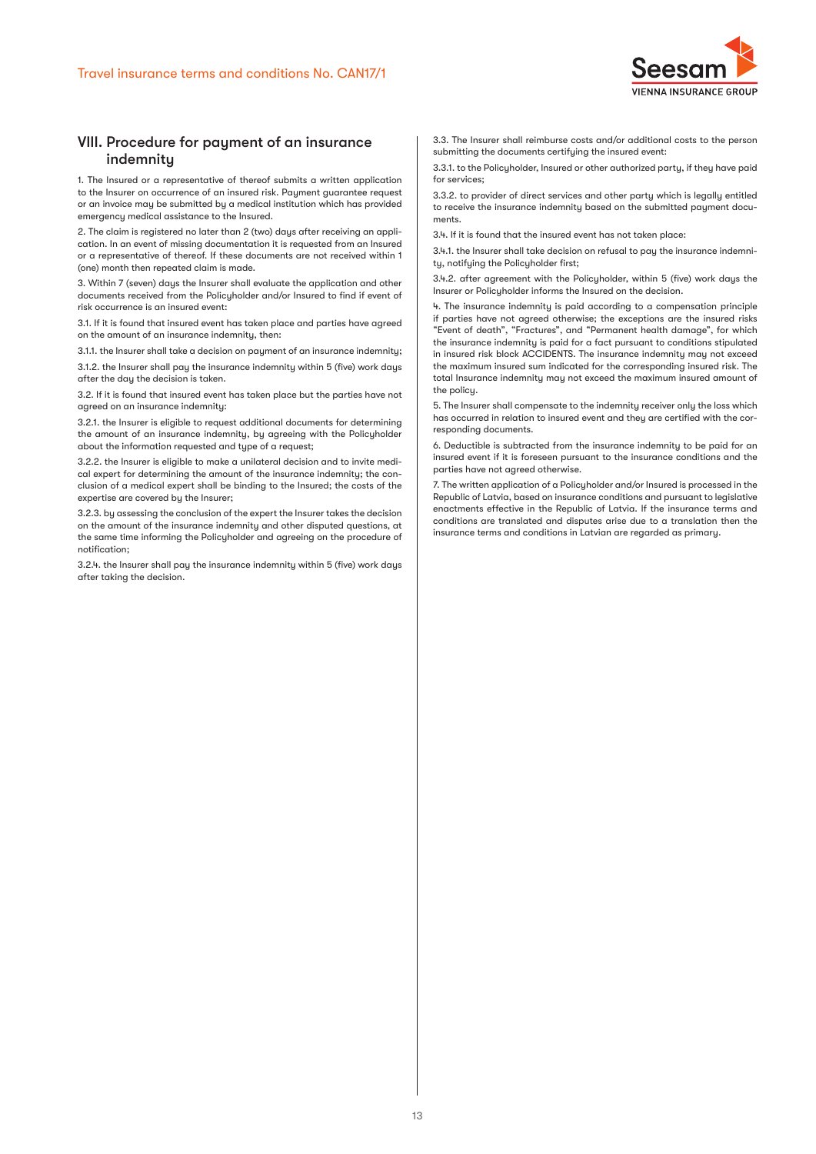

# VIII. Procedure for payment of an insurance indemnity

1. The Insured or a representative of thereof submits a written application to the Insurer on occurrence of an insured risk. Payment guarantee request or an invoice may be submitted by a medical institution which has provided emergency medical assistance to the Insured.

2. The claim is registered no later than 2 (two) days after receiving an application. In an event of missing documentation it is requested from an Insured or a representative of thereof. If these documents are not received within 1 (one) month then repeated claim is made.

3. Within 7 (seven) days the Insurer shall evaluate the application and other documents received from the Policyholder and/or Insured to find if event of risk occurrence is an insured event:

3.1. If it is found that insured event has taken place and parties have agreed on the amount of an insurance indemnity, then:

3.1.1. the Insurer shall take a decision on payment of an insurance indemnity; 3.1.2. the Insurer shall pay the insurance indemnity within 5 (five) work days after the day the decision is taken.

3.2. If it is found that insured event has taken place but the parties have not agreed on an insurance indemnity:

3.2.1. the Insurer is eligible to request additional documents for determining the amount of an insurance indemnity, by agreeing with the Policyholder about the information requested and type of a request;

3.2.2. the Insurer is eligible to make a unilateral decision and to invite medical expert for determining the amount of the insurance indemnity; the conclusion of a medical expert shall be binding to the Insured; the costs of the expertise are covered by the Insurer;

3.2.3. by assessing the conclusion of the expert the Insurer takes the decision on the amount of the insurance indemnity and other disputed questions, at the same time informing the Policyholder and agreeing on the procedure of notification;

3.2.4. the Insurer shall pay the insurance indemnity within 5 (five) work days after taking the decision.

3.3. The Insurer shall reimburse costs and/or additional costs to the person submitting the documents certifying the insured event:

3.3.1. to the Policyholder, Insured or other authorized party, if they have paid for services;

3.3.2. to provider of direct services and other party which is legally entitled to receive the insurance indemnity based on the submitted payment documents.

3.4. If it is found that the insured event has not taken place:

3.4.1. the Insurer shall take decision on refusal to pay the insurance indemnity, notifying the Policyholder first;

3.4.2. after agreement with the Policyholder, within 5 (five) work days the Insurer or Policyholder informs the Insured on the decision.

4. The insurance indemnity is paid according to a compensation principle if parties have not agreed otherwise; the exceptions are the insured risks "Event of death", "Fractures", and "Permanent health damage", for which the insurance indemnity is paid for a fact pursuant to conditions stipulated in insured risk block ACCIDENTS. The insurance indemnity may not exceed the maximum insured sum indicated for the corresponding insured risk. The total Insurance indemnity may not exceed the maximum insured amount of the policy.

5. The Insurer shall compensate to the indemnity receiver only the loss which has occurred in relation to insured event and they are certified with the corresponding documents.

6. Deductible is subtracted from the insurance indemnity to be paid for an insured event if it is foreseen pursuant to the insurance conditions and the parties have not agreed otherwise.

7. The written application of a Policyholder and/or Insured is processed in the Republic of Latvia, based on insurance conditions and pursuant to legislative enactments effective in the Republic of Latvia. If the insurance terms and conditions are translated and disputes arise due to a translation then the insurance terms and conditions in Latvian are regarded as primary.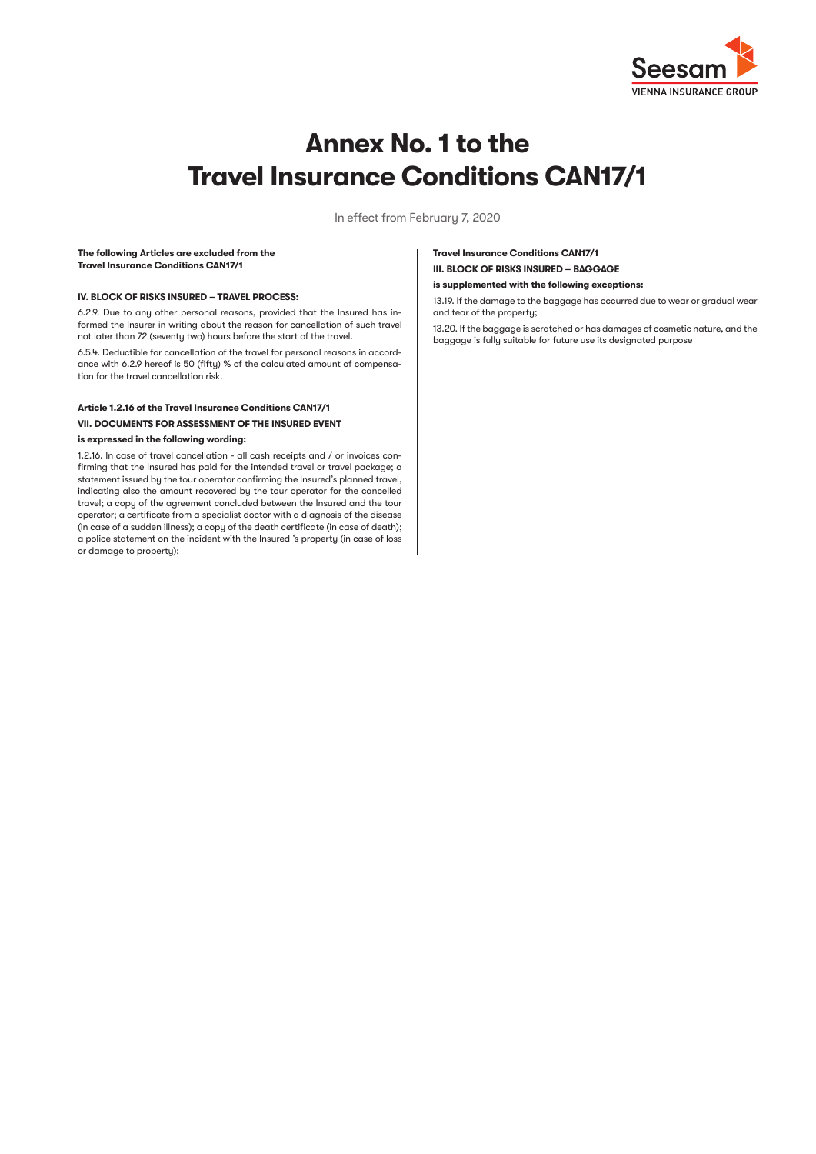

# **Annex No. 1 to the Travel Insurance Conditions CAN17/1**

In effect from February 7, 2020

#### **The following Articles are excluded from the Travel Insurance Conditions CAN17/1**

## **IV. BLOCK OF RISKS INSURED – TRAVEL PROCESS:**

6.2.9. Due to any other personal reasons, provided that the Insured has informed the Insurer in writing about the reason for cancellation of such travel not later than 72 (seventy two) hours before the start of the travel.

6.5.4. Deductible for cancellation of the travel for personal reasons in accordance with 6.2.9 hereof is 50 (fifty) % of the calculated amount of compensation for the travel cancellation risk.

# **Article 1.2.16 of the Travel Insurance Conditions CAN17/1 VII. DOCUMENTS FOR ASSESSMENT OF THE INSURED EVENT**

## **is expressed in the following wording:**

1.2.16. In case of travel cancellation - all cash receipts and / or invoices confirming that the Insured has paid for the intended travel or travel package; a statement issued by the tour operator confirming the Insured's planned travel, indicating also the amount recovered by the tour operator for the cancelled travel; a copy of the agreement concluded between the Insured and the tour operator; a certificate from a specialist doctor with a diagnosis of the disease (in case of a sudden illness); a copy of the death certificate (in case of death); a police statement on the incident with the Insured 's property (in case of loss or damage to property);

# **Travel Insurance Conditions CAN17/1 III. BLOCK OF RISKS INSURED – BAGGAGE**

#### **is supplemented with the following exceptions:**

13.19. If the damage to the baggage has occurred due to wear or gradual wear and tear of the property;

13.20. If the baggage is scratched or has damages of cosmetic nature, and the baggage is fully suitable for future use its designated purpose